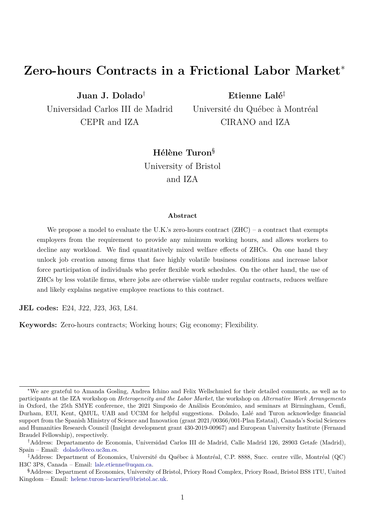## <span id="page-0-0"></span>**Zero-hours Contracts in a Frictional Labor Market**<sup>∗</sup>

**Juan J. Dolado**†

Universidad Carlos III de Madrid CEPR and IZA

**Etienne Lalé**‡

Université du Québec à Montréal CIRANO and IZA

**Hélène Turon**§ University of Bristol and IZA

#### **Abstract**

We propose a model to evaluate the U.K.'s zero-hours contract  $(ZHC)$  – a contract that exempts employers from the requirement to provide any minimum working hours, and allows workers to decline any workload. We find quantitatively mixed welfare effects of ZHCs. On one hand they unlock job creation among firms that face highly volatile business conditions and increase labor force participation of individuals who prefer flexible work schedules. On the other hand, the use of ZHCs by less volatile firms, where jobs are otherwise viable under regular contracts, reduces welfare and likely explains negative employee reactions to this contract.

**JEL codes:** E24, J22, J23, J63, L84.

**Keywords:** Zero-hours contracts; Working hours; Gig economy; Flexibility.

<sup>∗</sup>We are grateful to Amanda Gosling, Andrea Ichino and Felix Wellschmied for their detailed comments, as well as to participants at the IZA workshop on *Heterogeneity and the Labor Market*, the workshop on *Alternative Work Arrangements* in Oxford, the 25th SMYE conference, the 2021 Simposio de Análisis Económico, and seminars at Birmingham, Cemfi, Durham, EUI, Kent, QMUL, UAB and UC3M for helpful suggestions. Dolado, Lalé and Turon acknowledge financial support from the Spanish Ministry of Science and Innovation (grant 2021/00366/001-Plan Estatal), Canada's Social Sciences and Humanities Research Council (Insight development grant 430-2019-00967) and European University Institute (Fernand Braudel Fellowship), respectively.

<sup>†</sup>Address: Departamento de Economia, Universidad Carlos III de Madrid, Calle Madrid 126, 28903 Getafe (Madrid), Spain – Email: [dolado@eco.uc3m.es.](mailto:dolado@eco.uc3m.es)

<sup>‡</sup>Address: Department of Economics, Université du Québec à Montréal, C.P. 8888, Succ. centre ville, Montréal (QC) H3C 3P8, Canada – Email: [lale.etienne@uqam.ca.](mailto:lale.etienne@uqam.ca)

<sup>§</sup>Address: Department of Economics, University of Bristol, Priory Road Complex, Priory Road, Bristol BS8 1TU, United Kingdom – Email: [helene.turon-lacarrieu@bristol.ac.uk.](mailto:helene.turon-lacarrieu@bristol.ac.uk)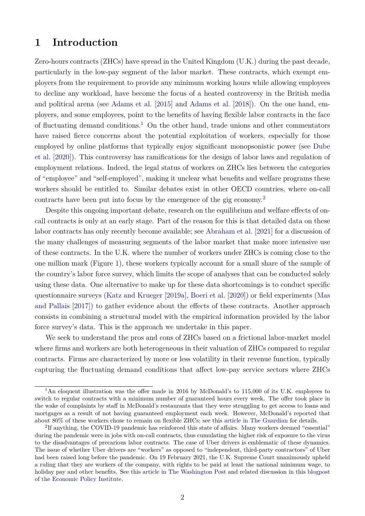## **1 Introduction**

Zero-hours contracts (ZHCs) have spread in the United Kingdom (U.K.) during the past decade, particularly in the low-pay segment of the labor market. These contracts, which exempt employers from the requirement to provide any minimum working hours while allowing employees to decline any workload, have become the focus of a heated controversy in the British media and political arena (see [Adams et al.](#page-37-0) [\[2015\]](#page-37-0) and [Adams et al.](#page-37-1) [\[2018\]](#page-37-1)). On the one hand, employers, and some employees, point to the benefits of having flexible labor contracts in the face of fluctuating demand conditions.<sup>[1](#page-0-0)</sup> On the other hand, trade unions and other commentators have raised fierce concerns about the potential exploitation of workers, especially for those employed by online platforms that typically enjoy significant monopsonistic power (see [Dube](#page-37-2) [et al.](#page-37-2) [\[2020\]](#page-37-2)). This controversy has ramifications for the design of labor laws and regulation of employment relations. Indeed, the legal status of workers on ZHCs lies between the categories of "employee" and "self-employed", making it unclear what benefits and welfare programs these workers should be entitled to. Similar debates exist in other OECD countries, where on-call contracts have been put into focus by the emergence of the gig economy.[2](#page-0-0)

Despite this ongoing important debate, research on the equilibrium and welfare effects of oncall contracts is only at an early stage. Part of the reason for this is that detailed data on these labor contracts has only recently become available; see [Abraham et al.](#page-36-0) [\[2021\]](#page-36-0) for a discussion of the many challenges of measuring segments of the labor market that make more intensive use of these contracts. In the U.K. where the number of workers under ZHCs is coming close to the one million mark (Figure [1\)](#page-2-0), these workers typically account for a small share of the sample of the country's labor force survey, which limits the scope of analyses that can be conducted solely using these data. One alternative to make up for these data shortcomings is to conduct specific questionnaire surveys [\(Katz and Krueger](#page-38-0) [\[2019a\]](#page-38-0), [Boeri et al.](#page-37-3) [\[2020\]](#page-37-3)) or field experiments [\(Mas](#page-38-1) [and Pallais](#page-38-1) [\[2017\]](#page-38-1)) to gather evidence about the effects of these contracts. Another approach consists in combining a structural model with the empirical information provided by the labor force survey's data. This is the approach we undertake in this paper.

We seek to understand the pros and cons of ZHCs based on a frictional labor-market model where firms and workers are both heterogeneous in their valuation of ZHCs compared to regular contracts. Firms are characterized by more or less volatility in their revenue function, typically capturing the fluctuating demand conditions that affect low-pay service sectors where ZHCs

<sup>&</sup>lt;sup>1</sup>An eloquent illustration was the offer made in 2016 by McDonald's to 115,000 of its U.K. employees to switch to regular contracts with a minimum number of guaranteed hours every week. The offer took place in the wake of complaints by staff in McDonald's restaurants that they were struggling to get access to loans and mortgages as a result of not having guaranteed employment each week. However, McDonald's reported that about 80% of these workers chose to remain on flexible ZHCs; see this [article in The Guardian](https://www.theguardian.com/business/2017/apr/25/mcdonalds-contracts-uk-zero-hours-workers) for details.

<sup>&</sup>lt;sup>2</sup>If anything, the COVID-19 pandemic has reinforced this state of affairs. Many workers deemed "essential" during the pandemic were in jobs with on-call contracts, thus cumulating the higher risk of exposure to the virus to the disadvantages of precarious labor contracts. The case of Uber drivers is emblematic of these dynamics. The issue of whether Uber drivers are "workers" as opposed to "independent, third-party contractors" of Uber had been raised long before the pandemic. On 19 February 2021, the U.K. Supreme Court unanimously upheld a ruling that they are workers of the company, with rights to be paid at least the national minimum wage, to holiday pay and other benefits. See this [article in The Washington Post](https://www.washingtonpost.com/world/europe/britain-uber-supreme-court-workers/2021/02/19/5f9a0b24-729f-11eb-8651-6d3091eac63f_story.html) and related discussion in this [blogpost](https://www.epi.org/blog/what-we-learned-from-the-uk-case-rendering-uber-drivers-employees/) [of the Economic Policy Institute.](https://www.epi.org/blog/what-we-learned-from-the-uk-case-rendering-uber-drivers-employees/)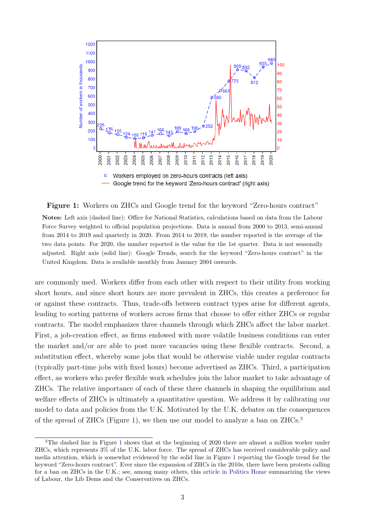<span id="page-2-0"></span>

**Figure 1:** Workers on ZHCs and Google trend for the keyword "Zero-hours contract"

**Notes:** Left axis (dashed line): Office for National Statistics, calculations based on data from the Labour Force Survey weighted to official population projections. Data is annual from 2000 to 2013, semi-annual from 2014 to 2019 and quarterly in 2020. From 2014 to 2019, the number reported is the average of the two data points. For 2020, the number reported is the value for the 1st quarter. Data is not seasonally adjusted. Right axis (solid line): Google Trends, search for the keyword "Zero-hours contract" in the United Kingdom. Data is available monthly from January 2004 onwards.

are commonly used. Workers differ from each other with respect to their utility from working short hours, and since short hours are more prevalent in ZHCs, this creates a preference for or against these contracts. Thus, trade-offs between contract types arise for different agents, leading to sorting patterns of workers across firms that choose to offer either ZHCs or regular contracts. The model emphasizes three channels through which ZHCs affect the labor market. First, a job-creation effect, as firms endowed with more volatile business conditions can enter the market and/or are able to post more vacancies using these flexible contracts. Second, a substitution effect, whereby some jobs that would be otherwise viable under regular contracts (typically part-time jobs with fixed hours) become advertised as ZHCs. Third, a participation effect, as workers who prefer flexible work schedules join the labor market to take advantage of ZHCs. The relative importance of each of these three channels in shaping the equilibrium and welfare effects of ZHCs is ultimately a quantitative question. We address it by calibrating our model to data and policies from the U.K. Motivated by the U.K. debates on the consequences of the spread of ZHCs (Figure [1\)](#page-2-0), we then use our model to analyze a ban on ZHCs.[3](#page-0-0)

<sup>&</sup>lt;sup>3</sup>The dashed line in Figure [1](#page-2-0) shows that at the beginning of 2020 there are almost a million worker under ZHCs, which represents 3% of the U.K. labor force. The spread of ZHCs has received considerable policy and media attention, which is somewhat evidenced by the solid line in Figure [1](#page-2-0) reporting the Google trend for the keyword "Zero-hours contract". Ever since the expansion of ZHCs in the 2010s, there have been protests calling for a ban on ZHCs in the U.K.; see, among many others, this [article in Politics Home](https://www.politicshome.com/news/article/record-figures-reveal-almost-one-million-workers-on-zerohour-contracts) summarizing the views of Labour, the Lib Dems and the Conservatives on ZHCs.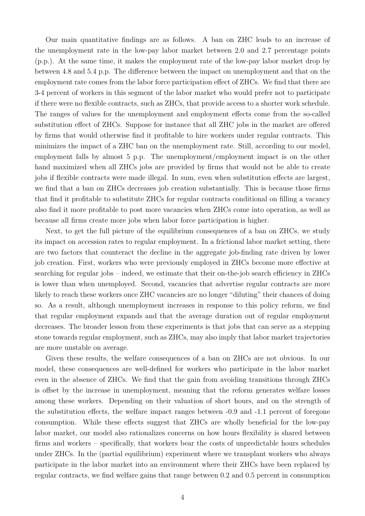Our main quantitative findings are as follows. A ban on ZHC leads to an increase of the unemployment rate in the low-pay labor market between 2.0 and 2.7 percentage points (p.p.). At the same time, it makes the employment rate of the low-pay labor market drop by between 4.8 and 5.4 p.p. The difference between the impact on unemployment and that on the employment rate comes from the labor force participation effect of ZHCs. We find that there are 3-4 percent of workers in this segment of the labor market who would prefer not to participate if there were no flexible contracts, such as ZHCs, that provide access to a shorter work schedule. The ranges of values for the unemployment and employment effects come from the so-called substitution effect of ZHCs. Suppose for instance that all ZHC jobs in the market are offered by firms that would otherwise find it profitable to hire workers under regular contracts. This minimizes the impact of a ZHC ban on the unemployment rate. Still, according to our model, employment falls by almost 5 p.p. The unemployment/employment impact is on the other hand maximized when all ZHCs jobs are provided by firms that would not be able to create jobs if flexible contracts were made illegal. In sum, even when substitution effects are largest, we find that a ban on ZHCs decreases job creation substantially. This is because those firms that find it profitable to substitute ZHCs for regular contracts conditional on filling a vacancy also find it more profitable to post more vacancies when ZHCs come into operation, as well as because all firms create more jobs when labor force participation is higher.

Next, to get the full picture of the equilibrium consequences of a ban on ZHCs, we study its impact on accession rates to regular employment. In a frictional labor market setting, there are two factors that counteract the decline in the aggregate job-finding rate driven by lower job creation. First, workers who were previously employed in ZHCs become more effective at searching for regular jobs – indeed, we estimate that their on-the-job search efficiency in ZHCs is lower than when unemployed. Second, vacancies that advertise regular contracts are more likely to reach these workers once ZHC vacancies are no longer "diluting" their chances of doing so. As a result, although unemployment increases in response to this policy reform, we find that regular employment expands and that the average duration out of regular employment decreases. The broader lesson from these experiments is that jobs that can serve as a stepping stone towards regular employment, such as ZHCs, may also imply that labor market trajectories are more unstable on average.

Given these results, the welfare consequences of a ban on ZHCs are not obvious. In our model, these consequences are well-defined for workers who participate in the labor market even in the absence of ZHCs. We find that the gain from avoiding transitions through ZHCs is offset by the increase in unemployment, meaning that the reform generates welfare losses among these workers. Depending on their valuation of short hours, and on the strength of the substitution effects, the welfare impact ranges between -0.9 and -1.1 percent of foregone consumption. While these effects suggest that ZHCs are wholly beneficial for the low-pay labor market, our model also rationalizes concerns on how hours flexibility is shared between firms and workers – specifically, that workers bear the costs of unpredictable hours schedules under ZHCs. In the (partial equilibrium) experiment where we transplant workers who always participate in the labor market into an environment where their ZHCs have been replaced by regular contracts, we find welfare gains that range between 0.2 and 0.5 percent in consumption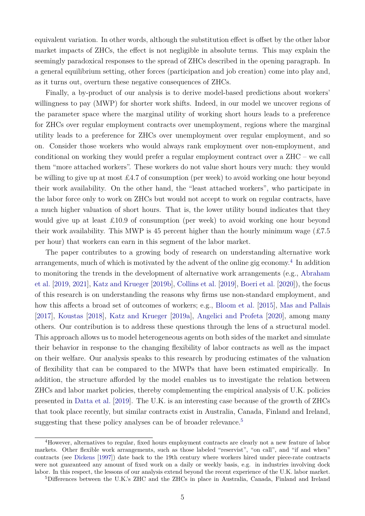equivalent variation. In other words, although the substitution effect is offset by the other labor market impacts of ZHCs, the effect is not negligible in absolute terms. This may explain the seemingly paradoxical responses to the spread of ZHCs described in the opening paragraph. In a general equilibrium setting, other forces (participation and job creation) come into play and, as it turns out, overturn these negative consequences of ZHCs.

Finally, a by-product of our analysis is to derive model-based predictions about workers' willingness to pay (MWP) for shorter work shifts. Indeed, in our model we uncover regions of the parameter space where the marginal utility of working short hours leads to a preference for ZHCs over regular employment contracts over unemployment, regions where the marginal utility leads to a preference for ZHCs over unemployment over regular employment, and so on. Consider those workers who would always rank employment over non-employment, and conditional on working they would prefer a regular employment contract over a ZHC – we call them "more attached workers". These workers do not value short hours very much: they would be willing to give up at most £4.7 of consumption (per week) to avoid working one hour beyond their work availability. On the other hand, the "least attached workers", who participate in the labor force only to work on ZHCs but would not accept to work on regular contracts, have a much higher valuation of short hours. That is, the lower utility bound indicates that they would give up at least £10.9 of consumption (per week) to avoid working one hour beyond their work availability. This MWP is 45 percent higher than the hourly minimum wage  $(\pounds 7.5)$ per hour) that workers can earn in this segment of the labor market.

The paper contributes to a growing body of research on understanding alternative work arrangements, much of which is motivated by the advent of the online gig economy.<sup>[4](#page-0-0)</sup> In addition to monitoring the trends in the development of alternative work arrangements (e.g., [Abraham](#page-36-1) [et al.](#page-36-1) [\[2019,](#page-36-1) [2021\]](#page-36-0), [Katz and Krueger](#page-38-2) [\[2019b\]](#page-38-2), [Collins et al.](#page-37-4) [\[2019\]](#page-37-4), [Boeri et al.](#page-37-3) [\[2020\]](#page-37-3)), the focus of this research is on understanding the reasons why firms use non-standard employment, and how this affects a broad set of outcomes of workers; e.g., [Bloom et al.](#page-37-5) [\[2015\]](#page-37-5), [Mas and Pallais](#page-38-1) [\[2017\]](#page-38-1), [Koustas](#page-38-3) [\[2018\]](#page-38-3), [Katz and Krueger](#page-38-0) [\[2019a\]](#page-38-0), [Angelici and Profeta](#page-37-6) [\[2020\]](#page-37-6), among many others. Our contribution is to address these questions through the lens of a structural model. This approach allows us to model heterogeneous agents on both sides of the market and simulate their behavior in response to the changing flexibility of labor contracts as well as the impact on their welfare. Our analysis speaks to this research by producing estimates of the valuation of flexibility that can be compared to the MWPs that have been estimated empirically. In addition, the structure afforded by the model enables us to investigate the relation between ZHCs and labor market policies, thereby complementing the empirical analysis of U.K. policies presented in [Datta et al.](#page-37-7) [\[2019\]](#page-37-7). The U.K. is an interesting case because of the growth of ZHCs that took place recently, but similar contracts exist in Australia, Canada, Finland and Ireland, suggesting that these policy analyses can be of broader relevance.<sup>[5](#page-0-0)</sup>

<sup>4</sup>However, alternatives to regular, fixed hours employment contracts are clearly not a new feature of labor markets. Other flexible work arrangements, such as those labeled "reservist", "on call", and "if and when" contracts (see [Dickens](#page-37-8) [\[1997\]](#page-37-8)) date back to the 19th century where workers hired under piece-rate contracts were not guaranteed any amount of fixed work on a daily or weekly basis, e.g. in industries involving dock labor. In this respect, the lessons of our analysis extend beyond the recent experience of the U.K. labor market.

<sup>5</sup>Differences between the U.K.'s ZHC and the ZHCs in place in Australia, Canada, Finland and Ireland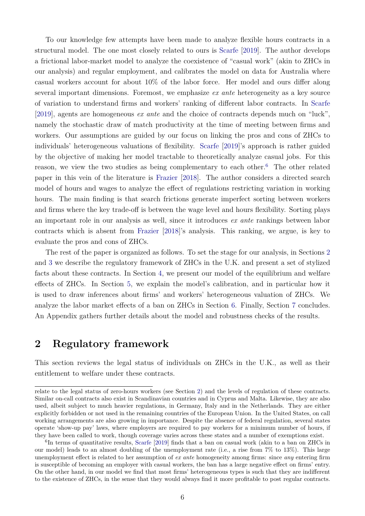To our knowledge few attempts have been made to analyze flexible hours contracts in a structural model. The one most closely related to ours is [Scarfe](#page-38-4) [\[2019\]](#page-38-4). The author develops a frictional labor-market model to analyze the coexistence of "casual work" (akin to ZHCs in our analysis) and regular employment, and calibrates the model on data for Australia where casual workers account for about 10% of the labor force. Her model and ours differ along several important dimensions. Foremost, we emphasize *ex ante* heterogeneity as a key source of variation to understand firms and workers' ranking of different labor contracts. In [Scarfe](#page-38-4) [\[2019\]](#page-38-4), agents are homogeneous *ex ante* and the choice of contracts depends much on "luck", namely the stochastic draw of match productivity at the time of meeting between firms and workers. Our assumptions are guided by our focus on linking the pros and cons of ZHCs to individuals' heterogeneous valuations of flexibility. [Scarfe](#page-38-4) [\[2019\]](#page-38-4)'s approach is rather guided by the objective of making her model tractable to theoretically analyze casual jobs. For this reason, we view the two studies as being complementary to each other.<sup>[6](#page-0-0)</sup> The other related paper in this vein of the literature is [Frazier](#page-37-9) [\[2018\]](#page-37-9). The author considers a directed search model of hours and wages to analyze the effect of regulations restricting variation in working hours. The main finding is that search frictions generate imperfect sorting between workers and firms where the key trade-off is between the wage level and hours flexibility. Sorting plays an important role in our analysis as well, since it introduces *ex ante* rankings between labor contracts which is absent from [Frazier](#page-37-9) [\[2018\]](#page-37-9)'s analysis. This ranking, we argue, is key to evaluate the pros and cons of ZHCs.

The rest of the paper is organized as follows. To set the stage for our analysis, in Sections [2](#page-5-0) and [3](#page-7-0) we describe the regulatory framework of ZHCs in the U.K. and present a set of stylized facts about these contracts. In Section [4,](#page-12-0) we present our model of the equilibrium and welfare effects of ZHCs. In Section [5,](#page-19-0) we explain the model's calibration, and in particular how it is used to draw inferences about firms' and workers' heterogeneous valuation of ZHCs. We analyze the labor market effects of a ban on ZHCs in Section [6.](#page-27-0) Finally, Section [7](#page-35-0) concludes. An Appendix gathers further details about the model and robustness checks of the results.

## <span id="page-5-0"></span>**2 Regulatory framework**

This section reviews the legal status of individuals on ZHCs in the U.K., as well as their entitlement to welfare under these contracts.

relate to the legal status of zero-hours workers (see Section [2\)](#page-5-0) and the levels of regulation of these contracts. Similar on-call contracts also exist in Scandinavian countries and in Cyprus and Malta. Likewise, they are also used, albeit subject to much heavier regulations, in Germany, Italy and in the Netherlands. They are either explicitly forbidden or not used in the remaining countries of the European Union. In the United States, on call working arrangements are also growing in importance. Despite the absence of federal regulation, several states operate 'show-up pay' laws, where employers are required to pay workers for a minimum number of hours, if they have been called to work, though coverage varies across these states and a number of exemptions exist.

<sup>&</sup>lt;sup>6</sup>In terms of quantitative results, [Scarfe](#page-38-4) [\[2019\]](#page-38-4) finds that a ban on casual work (akin to a ban on ZHCs in our model) leads to an almost doubling of the unemployment rate (i.e., a rise from 7% to 13%). This large unemployment effect is related to her assumption of *ex ante* homogeneity among firms: since *any* entering firm is susceptible of becoming an employer with casual workers, the ban has a large negative effect on firms' entry. On the other hand, in our model we find that most firms' heterogeneous types is such that they are indifferent to the existence of ZHCs, in the sense that they would always find it more profitable to post regular contracts.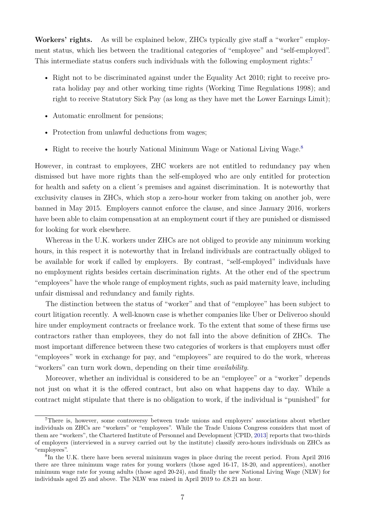**Workers' rights.** As will be explained below, ZHCs typically give staff a "worker" employment status, which lies between the traditional categories of "employee" and "self-employed". This intermediate status confers such individuals with the following employment rights:<sup>[7](#page-0-0)</sup>

- Right not to be discriminated against under the Equality Act 2010; right to receive prorata holiday pay and other working time rights (Working Time Regulations 1998); and right to receive Statutory Sick Pay (as long as they have met the Lower Earnings Limit);
- Automatic enrollment for pensions;
- Protection from unlawful deductions from wages:
- Right to receive the hourly National Minimum Wage or National Living Wage.<sup>[8](#page-0-0)</sup>

However, in contrast to employees, ZHC workers are not entitled to redundancy pay when dismissed but have more rights than the self-employed who are only entitled for protection for health and safety on a client´s premises and against discrimination. It is noteworthy that exclusivity clauses in ZHCs, which stop a zero-hour worker from taking on another job, were banned in May 2015. Employers cannot enforce the clause, and since January 2016, workers have been able to claim compensation at an employment court if they are punished or dismissed for looking for work elsewhere.

Whereas in the U.K. workers under ZHCs are not obliged to provide any minimum working hours, in this respect it is noteworthy that in Ireland individuals are contractually obliged to be available for work if called by employers. By contrast, "self-employed" individuals have no employment rights besides certain discrimination rights. At the other end of the spectrum "employees" have the whole range of employment rights, such as paid maternity leave, including unfair dismissal and redundancy and family rights.

The distinction between the status of "worker" and that of "employee" has been subject to court litigation recently. A well-known case is whether companies like Uber or Deliveroo should hire under employment contracts or freelance work. To the extent that some of these firms use contractors rather than employees, they do not fall into the above definition of ZHCs. The most important difference between these two categories of workers is that employers must offer "employees" work in exchange for pay, and "employees" are required to do the work, whereas "workers" can turn work down, depending on their time *availability*.

Moreover, whether an individual is considered to be an "employee" or a "worker" depends not just on what it is the offered contract, but also on what happens day to day. While a contract might stipulate that there is no obligation to work, if the individual is "punished" for

<sup>&</sup>lt;sup>7</sup>There is, however, some controversy between trade unions and employers' associations about whether individuals on ZHCs are "workers" or "employees". While the Trade Unions Congress considers that most of them are "workers", the Chartered Institute of Personnel and Development [CPID, [2013\]](#page-36-2) reports that two-thirds of employers (interviewed in a survey carried out by the institute) classify zero-hours individuals on ZHCs as "employees".

<sup>&</sup>lt;sup>8</sup>In the U.K. there have been several minimum wages in place during the recent period. From April 2016 there are three minimum wage rates for young workers (those aged 16-17, 18-20, and apprentices), another minimum wage rate for young adults (those aged 20-24), and finally the new National Living Wage (NLW) for individuals aged 25 and above. The NLW was raised in April 2019 to £8.21 an hour.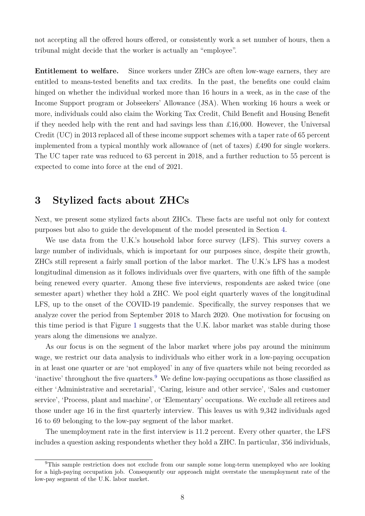not accepting all the offered hours offered, or consistently work a set number of hours, then a tribunal might decide that the worker is actually an "employee".

**Entitlement to welfare.** Since workers under ZHCs are often low-wage earners, they are entitled to means-tested benefits and tax credits. In the past, the benefits one could claim hinged on whether the individual worked more than 16 hours in a week, as in the case of the Income Support program or Jobseekers' Allowance (JSA). When working 16 hours a week or more, individuals could also claim the Working Tax Credit, Child Benefit and Housing Benefit if they needed help with the rent and had savings less than  $\pounds 16,000$ . However, the Universal Credit (UC) in 2013 replaced all of these income support schemes with a taper rate of 65 percent implemented from a typical monthly work allowance of (net of taxes) £490 for single workers. The UC taper rate was reduced to 63 percent in 2018, and a further reduction to 55 percent is expected to come into force at the end of 2021.

## <span id="page-7-0"></span>**3 Stylized facts about ZHCs**

Next, we present some stylized facts about ZHCs. These facts are useful not only for context purposes but also to guide the development of the model presented in Section [4.](#page-12-0)

We use data from the U.K.'s household labor force survey (LFS). This survey covers a large number of individuals, which is important for our purposes since, despite their growth, ZHCs still represent a fairly small portion of the labor market. The U.K.'s LFS has a modest longitudinal dimension as it follows individuals over five quarters, with one fifth of the sample being renewed every quarter. Among these five interviews, respondents are asked twice (one semester apart) whether they hold a ZHC. We pool eight quarterly waves of the longitudinal LFS, up to the onset of the COVID-19 pandemic. Specifically, the survey responses that we analyze cover the period from September 2018 to March 2020. One motivation for focusing on this time period is that Figure [1](#page-2-0) suggests that the U.K. labor market was stable during those years along the dimensions we analyze.

As our focus is on the segment of the labor market where jobs pay around the minimum wage, we restrict our data analysis to individuals who either work in a low-paying occupation in at least one quarter or are 'not employed' in any of five quarters while not being recorded as 'inactive' throughout the five quarters.<sup>[9](#page-0-0)</sup> We define low-paying occupations as those classified as either 'Administrative and secretarial', 'Caring, leisure and other service', 'Sales and customer service', 'Process, plant and machine', or 'Elementary' occupations. We exclude all retirees and those under age 16 in the first quarterly interview. This leaves us with 9,342 individuals aged 16 to 69 belonging to the low-pay segment of the labor market.

The unemployment rate in the first interview is 11.2 percent. Every other quarter, the LFS includes a question asking respondents whether they hold a ZHC. In particular, 356 individuals,

<sup>9</sup>This sample restriction does not exclude from our sample some long-term unemployed who are looking for a high-paying occupation job. Consequently our approach might overstate the unemployment rate of the low-pay segment of the U.K. labor market.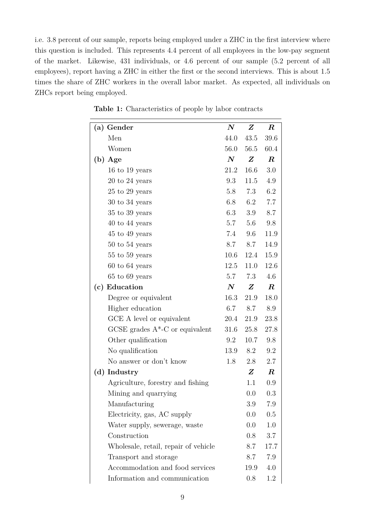i.e. 3.8 percent of our sample, reports being employed under a ZHC in the first interview where this question is included. This represents 4.4 percent of all employees in the low-pay segment of the market. Likewise, 431 individuals, or 4.6 percent of our sample (5.2 percent of all employees), report having a ZHC in either the first or the second interviews. This is about 1.5 times the share of ZHC workers in the overall labor market. As expected, all individuals on ZHCs report being employed.

| (a) Gender                           | $\boldsymbol{N}$ | $\boldsymbol{Z}$ | $\boldsymbol{R}$ |
|--------------------------------------|------------------|------------------|------------------|
| Men                                  | 44.0             | 43.5             | 39.6             |
| Women                                | 56.0             | 56.5             | 60.4             |
| (b)<br>Age                           | $\boldsymbol{N}$ | $\boldsymbol{Z}$ | $\boldsymbol{R}$ |
| $16$ to $19$ years                   | 21.2             | 16.6             | 3.0              |
| $20$ to $24$ years                   | 9.3              | $11.5\,$         | 4.9              |
| $25$ to $29$ years                   | 5.8              | 7.3              | 6.2              |
| $30 \text{ to } 34 \text{ years}$    | 6.8              | 6.2              | 7.7              |
| $35$ to $39$ years                   | 6.3              | 3.9              | 8.7              |
| $40$ to $44$ years                   | 5.7              | 5.6              | 9.8              |
| $45$ to $49$ years                   | 7.4              | 9.6              | 11.9             |
| $50$ to $54$ years                   | 8.7              | 8.7              | 14.9             |
| 55 to 59 years                       | 10.6             | 12.4             | 15.9             |
| $60$ to $64$ years                   | 12.5             | 11.0             | 12.6             |
| $65$ to $69$ years                   | 5.7              | 7.3              | 4.6              |
| (c) Education                        | $\boldsymbol{N}$ | $\boldsymbol{Z}$ | $\boldsymbol{R}$ |
| Degree or equivalent                 | 16.3             | 21.9             | 18.0             |
| Higher education                     | 6.7              | 8.7              | 8.9              |
| GCE A level or equivalent            | 20.4             | 21.9             | 23.8             |
| GCSE grades $A^*$ -C or equivalent   | 31.6             | 25.8             | 27.8             |
| Other qualification                  | 9.2              | 10.7             | 9.8              |
| No qualification                     | 13.9             | 8.2              | 9.2              |
| No answer or don't know              | 1.8              | 2.8              | 2.7              |
| (d) Industry                         |                  | $Z \,$           | $\boldsymbol{R}$ |
| Agriculture, forestry and fishing    |                  | 1.1              | 0.9              |
| Mining and quarrying                 |                  | 0.0              | 0.3              |
| Manufacturing                        |                  | 3.9              | 7.9              |
| Electricity, gas, AC supply          |                  | 0.0              | 0.5              |
| Water supply, sewerage, waste        |                  | 0.0              | 1.0              |
| Construction                         |                  | 0.8              | 3.7              |
| Wholesale, retail, repair of vehicle |                  | 8.7              | 17.7             |
| Transport and storage                |                  | 8.7              | 7.9              |
| Accommodation and food services      |                  | 19.9             | 4.0              |
| Information and communication        |                  | 0.8              | 1.2              |

<span id="page-8-0"></span>**Table 1:** Characteristics of people by labor contracts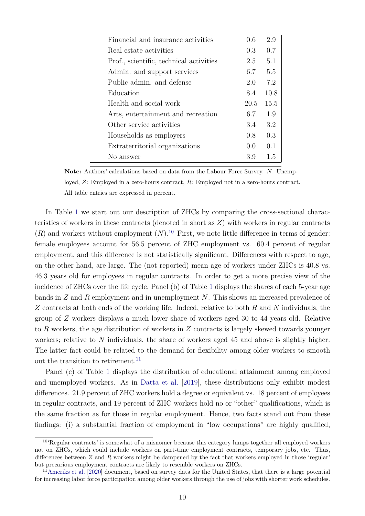| Financial and insurance activities      | 0.6  | 2.9  |
|-----------------------------------------|------|------|
| Real estate activities                  | 0.3  | 0.7  |
| Prof., scientific, technical activities | 2.5  | 5.1  |
| Admin. and support services             | 6.7  | 5.5  |
| Public admin. and defense               | 2.0  | 7.2  |
| Education                               | 8.4  | 10.8 |
| Health and social work                  | 20.5 | 15.5 |
| Arts, entertainment and recreation      | 6.7  | 1.9  |
| Other service activities                | 3.4  | 3.2  |
| Households as employers                 | 0.8  | 0.3  |
| Extraterritorial organizations          | 0.0  | 0.1  |
| No answer                               | 3.9  | 1.5  |

**Note:** Authors' calculations based on data from the Labour Force Survey. N: Unemployed, Z: Employed in a zero-hours contract, R: Employed not in a zero-hours contract. All table entries are expressed in percent.

In Table [1](#page-8-0) we start out our description of ZHCs by comparing the cross-sectional characteristics of workers in these contracts (denoted in short as  $Z$ ) with workers in regular contracts  $(R)$  and workers without employment  $(N)$ .<sup>[10](#page-0-0)</sup> First, we note little difference in terms of gender: female employees account for 56.5 percent of ZHC employment vs. 60.4 percent of regular employment, and this difference is not statistically significant. Differences with respect to age, on the other hand, are large. The (not reported) mean age of workers under ZHCs is 40.8 vs. 46.3 years old for employees in regular contracts. In order to get a more precise view of the incidence of ZHCs over the life cycle, Panel (b) of Table [1](#page-8-0) displays the shares of each 5-year age bands in Z and R employment and in unemployment N. This shows an increased prevalence of  $Z$  contracts at both ends of the working life. Indeed, relative to both  $R$  and  $N$  individuals, the group of Z workers displays a much lower share of workers aged 30 to 44 years old. Relative to R workers, the age distribution of workers in Z contracts is largely skewed towards younger workers; relative to N individuals, the share of workers aged 45 and above is slightly higher. The latter fact could be related to the demand for flexibility among older workers to smooth out the transition to retirement.<sup>[11](#page-0-0)</sup>

Panel (c) of Table [1](#page-8-0) displays the distribution of educational attainment among employed and unemployed workers. As in [Datta et al.](#page-37-7) [\[2019\]](#page-37-7), these distributions only exhibit modest differences. 21.9 percent of ZHC workers hold a degree or equivalent vs. 18 percent of employees in regular contracts, and 19 percent of ZHC workers hold no or "other" qualifications, which is the same fraction as for those in regular employment. Hence, two facts stand out from these findings: (i) a substantial fraction of employment in "low occupations" are highly qualified,

<sup>10</sup>'Regular contracts' is somewhat of a misnomer because this category lumps together all employed workers not on ZHCs, which could include workers on part-time employment contracts, temporary jobs, etc. Thus, differences between  $Z$  and  $R$  workers might be dampened by the fact that workers employed in those 'regular' but precarious employment contracts are likely to resemble workers on ZHCs.

<sup>11</sup>[Ameriks et al.](#page-37-10) [\[2020\]](#page-37-10) document, based on survey data for the United States, that there is a large potential for increasing labor force participation among older workers through the use of jobs with shorter work schedules.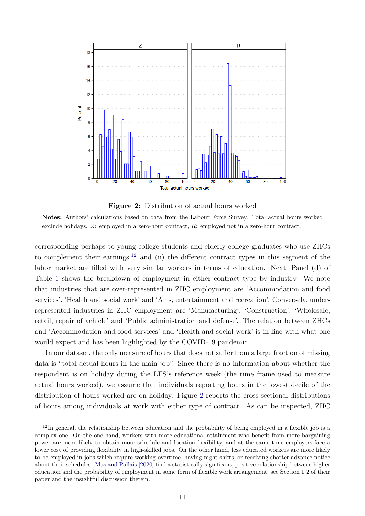<span id="page-10-0"></span>

**Figure 2:** Distribution of actual hours worked

**Notes:** Authors' calculations based on data from the Labour Force Survey. Total actual hours worked exclude holidays. Z: employed in a zero-hour contract, R: employed not in a zero-hour contract.

corresponding perhaps to young college students and elderly college graduates who use ZHCs to complement their earnings;<sup>[12](#page-0-0)</sup> and (ii) the different contract types in this segment of the labor market are filled with very similar workers in terms of education. Next, Panel (d) of Table [1](#page-8-0) shows the breakdown of employment in either contract type by industry. We note that industries that are over-represented in ZHC employment are 'Accommodation and food services', 'Health and social work' and 'Arts, entertainment and recreation'. Conversely, underrepresented industries in ZHC employment are 'Manufacturing', 'Construction', 'Wholesale, retail, repair of vehicle' and 'Public administration and defense'. The relation between ZHCs and 'Accommodation and food services' and 'Health and social work' is in line with what one would expect and has been highlighted by the COVID-19 pandemic.

In our dataset, the only measure of hours that does not suffer from a large fraction of missing data is "total actual hours in the main job". Since there is no information about whether the respondent is on holiday during the LFS's reference week (the time frame used to measure actual hours worked), we assume that individuals reporting hours in the lowest decile of the distribution of hours worked are on holiday. Figure [2](#page-10-0) reports the cross-sectional distributions of hours among individuals at work with either type of contract. As can be inspected, ZHC

<sup>&</sup>lt;sup>12</sup>In general, the relationship between education and the probability of being employed in a flexible job is a complex one. On the one hand, workers with more educational attainment who benefit from more bargaining power are more likely to obtain more schedule and location flexibility, and at the same time employers face a lower cost of providing flexibility in high-skilled jobs. On the other hand, less educated workers are more likely to be employed in jobs which require working overtime, having night shifts, or receiving shorter advance notice about their schedules. [Mas and Pallais](#page-38-5) [\[2020\]](#page-38-5) find a statistically significant, positive relationship between higher education and the probability of employment in some form of flexible work arrangement; see Section 1.2 of their paper and the insightful discussion therein.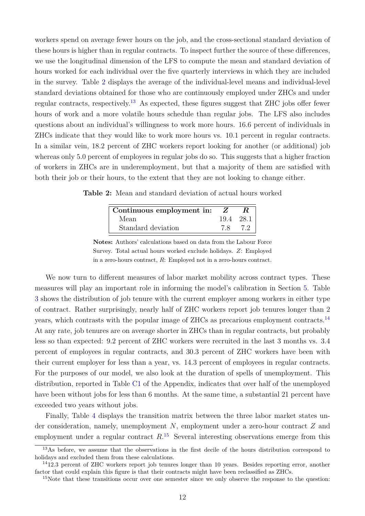workers spend on average fewer hours on the job, and the cross-sectional standard deviation of these hours is higher than in regular contracts. To inspect further the source of these differences, we use the longitudinal dimension of the LFS to compute the mean and standard deviation of hours worked for each individual over the five quarterly interviews in which they are included in the survey. Table [2](#page-11-0) displays the average of the individual-level means and individual-level standard deviations obtained for those who are continuously employed under ZHCs and under regular contracts, respectively.[13](#page-0-0) As expected, these figures suggest that ZHC jobs offer fewer hours of work and a more volatile hours schedule than regular jobs. The LFS also includes questions about an individual's willingness to work more hours. 16.6 percent of individuals in ZHCs indicate that they would like to work more hours vs. 10.1 percent in regular contracts. In a similar vein, 18.2 percent of ZHC workers report looking for another (or additional) job whereas only 5.0 percent of employees in regular jobs do so. This suggests that a higher fraction of workers in ZHCs are in underemployment, but that a majority of them are satisfied with both their job or their hours, to the extent that they are not looking to change either.

<span id="page-11-0"></span>**Table 2:** Mean and standard deviation of actual hours worked

| Continuous employment in: | Z  | R.        |
|---------------------------|----|-----------|
| Mean                      |    | 19.4 28.1 |
| Standard deviation        | 78 | -7.2      |

**Notes:** Authors' calculations based on data from the Labour Force Survey. Total actual hours worked exclude holidays. Z: Employed in a zero-hours contract, R: Employed not in a zero-hours contract.

We now turn to different measures of labor market mobility across contract types. These measures will play an important role in informing the model's calibration in Section [5.](#page-19-0) Table [3](#page-12-1) shows the distribution of job tenure with the current employer among workers in either type of contract. Rather surprisingly, nearly half of ZHC workers report job tenures longer than 2 years, which contrasts with the popular image of ZHCs as precarious employment contracts.[14](#page-0-0) At any rate, job tenures are on average shorter in ZHCs than in regular contracts, but probably less so than expected: 9.2 percent of ZHC workers were recruited in the last 3 months vs. 3.4 percent of employees in regular contracts, and 30.3 percent of ZHC workers have been with their current employer for less than a year, vs. 14.3 percent of employees in regular contracts. For the purposes of our model, we also look at the duration of spells of unemployment. This distribution, reported in Table [C1](#page-42-0) of the Appendix, indicates that over half of the unemployed have been without jobs for less than 6 months. At the same time, a substantial 21 percent have exceeded two years without jobs.

Finally, Table [4](#page-12-2) displays the transition matrix between the three labor market states under consideration, namely, unemployment N, employment under a zero-hour contract Z and employment under a regular contract  $R<sup>15</sup>$  $R<sup>15</sup>$  $R<sup>15</sup>$  Several interesting observations emerge from this

<sup>13</sup>As before, we assume that the observations in the first decile of the hours distribution correspond to holidays and excluded them from these calculations.

<sup>&</sup>lt;sup>14</sup>12.3 percent of ZHC workers report job tenures longer than 10 years. Besides reporting error, another factor that could explain this figure is that their contracts might have been reclassified as ZHCs.

<sup>&</sup>lt;sup>15</sup>Note that these transitions occur over one semester since we only observe the response to the question: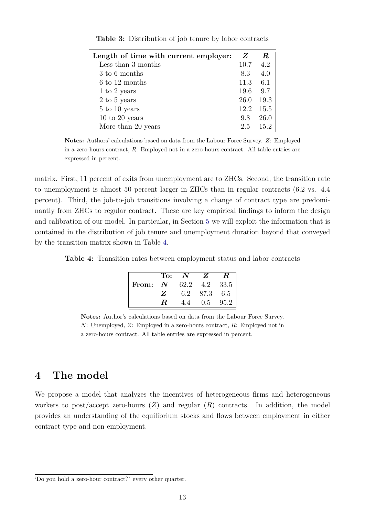<span id="page-12-1"></span>

| Length of time with current employer: | Z    | R    |
|---------------------------------------|------|------|
| Less than 3 months                    | 10.7 | 4.2  |
| 3 to 6 months                         | 8.3  | 4.0  |
| 6 to 12 months                        | 11.3 | 6.1  |
| 1 to 2 years                          | 19.6 | 9.7  |
| 2 to 5 years                          | 26.0 | 19.3 |
| 5 to 10 years                         | 12.2 | 15.5 |
| $10$ to $20$ years                    | 9.8  | 26.0 |
| More than 20 years                    | 2.5  | 15.2 |

**Table 3:** Distribution of job tenure by labor contracts

**Notes:** Authors' calculations based on data from the Labour Force Survey. Z: Employed in a zero-hours contract,  $R$ : Employed not in a zero-hours contract. All table entries are expressed in percent.

matrix. First, 11 percent of exits from unemployment are to ZHCs. Second, the transition rate to unemployment is almost 50 percent larger in ZHCs than in regular contracts (6.2 vs. 4.4 percent). Third, the job-to-job transitions involving a change of contract type are predominantly from ZHCs to regular contract. These are key empirical findings to inform the design and calibration of our model. In particular, in Section [5](#page-19-0) we will exploit the information that is contained in the distribution of job tenure and unemployment duration beyond that conveyed by the transition matrix shown in Table [4.](#page-12-2)

<span id="page-12-2"></span>**Table 4:** Transition rates between employment status and labor contracts

|       | $\mathrm{To:}$ | N    | Z        | $\boldsymbol{R}$ |
|-------|----------------|------|----------|------------------|
| From: | N              | 62.2 | 4.2      | 33.5             |
|       | Z              | 6.2  | 87.3 6.5 |                  |
|       | R.             | 4.4  | 0.5      | 95.2             |

**Notes:** Author's calculations based on data from the Labour Force Survey.  $N:$  Unemployed,  $Z:$  Employed in a zero-hours contract,  $R:$  Employed not in a zero-hours contract. All table entries are expressed in percent.

## <span id="page-12-0"></span>**4 The model**

We propose a model that analyzes the incentives of heterogeneous firms and heterogeneous workers to post/accept zero-hours  $(Z)$  and regular  $(R)$  contracts. In addition, the model provides an understanding of the equilibrium stocks and flows between employment in either contract type and non-employment.

<sup>&#</sup>x27;Do you hold a zero-hour contract?' every other quarter.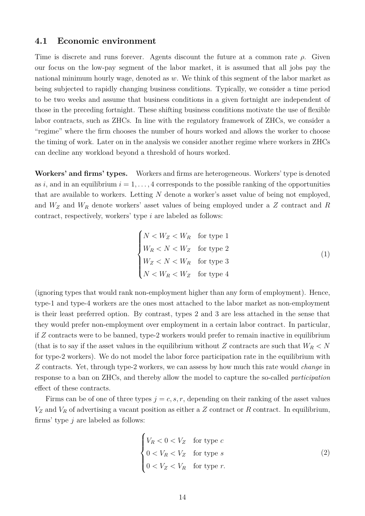#### **4.1 Economic environment**

Time is discrete and runs forever. Agents discount the future at a common rate  $\rho$ . Given our focus on the low-pay segment of the labor market, it is assumed that all jobs pay the national minimum hourly wage, denoted as  $w$ . We think of this segment of the labor market as being subjected to rapidly changing business conditions. Typically, we consider a time period to be two weeks and assume that business conditions in a given fortnight are independent of those in the preceding fortnight. These shifting business conditions motivate the use of flexible labor contracts, such as ZHCs. In line with the regulatory framework of ZHCs, we consider a "regime" where the firm chooses the number of hours worked and allows the worker to choose the timing of work. Later on in the analysis we consider another regime where workers in ZHCs can decline any workload beyond a threshold of hours worked.

**Workers' and firms' types.** Workers and firms are heterogeneous. Workers' type is denoted as i, and in an equilibrium  $i = 1, \ldots, 4$  corresponds to the possible ranking of the opportunities that are available to workers. Letting  $N$  denote a worker's asset value of being not employed, and  $W_Z$  and  $W_R$  denote workers' asset values of being employed under a  $Z$  contract and  $R$ contract, respectively, workers' type i are labeled as follows:

<span id="page-13-1"></span>
$$
\begin{cases}\nN < W_Z < W_R \quad \text{for type 1} \\
W_R < N < W_Z \quad \text{for type 2} \\
W_Z < N < W_R \quad \text{for type 3} \\
N < W_R < W_Z \quad \text{for type 4}\n\end{cases} \tag{1}
$$

(ignoring types that would rank non-employment higher than any form of employment). Hence, type-1 and type-4 workers are the ones most attached to the labor market as non-employment is their least preferred option. By contrast, types 2 and 3 are less attached in the sense that they would prefer non-employment over employment in a certain labor contract. In particular, if Z contracts were to be banned, type-2 workers would prefer to remain inactive in equilibrium (that is to say if the asset values in the equilibrium without Z contracts are such that  $W_R < N$ for type-2 workers). We do not model the labor force participation rate in the equilibrium with Z contracts. Yet, through type-2 workers, we can assess by how much this rate would *change* in response to a ban on ZHCs, and thereby allow the model to capture the so-called *participation* effect of these contracts.

Firms can be of one of three types  $j = c, s, r$ , depending on their ranking of the asset values  $V_Z$  and  $V_R$  of advertising a vacant position as either a Z contract or R contract. In equilibrium, firms' type  $j$  are labeled as follows:

<span id="page-13-0"></span>
$$
\begin{cases}\n V_R < 0 < V_Z & \text{for type } c \\
 0 < V_R < V_Z & \text{for type } s \\
 0 < V_Z < V_R & \text{for type } r.\n\end{cases}\n\tag{2}
$$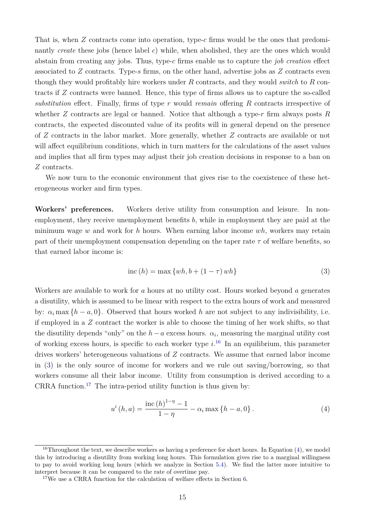That is, when  $Z$  contracts come into operation, type- $c$  firms would be the ones that predominantly *create* these jobs (hence label c) while, when abolished, they are the ones which would abstain from creating any jobs. Thus, type-c firms enable us to capture the *job creation* effect associated to  $Z$  contracts. Type-s firms, on the other hand, advertise jobs as  $Z$  contracts even though they would profitably hire workers under R contracts, and they would *switch* to R contracts if Z contracts were banned. Hence, this type of firms allows us to capture the so-called *substitution* effect. Finally, firms of type r would *remain* offering R contracts irrespective of whether  $Z$  contracts are legal or banned. Notice that although a type-r firm always posts  $R$ contracts, the expected discounted value of its profits will in general depend on the presence of Z contracts in the labor market. More generally, whether Z contracts are available or not will affect equilibrium conditions, which in turn matters for the calculations of the asset values and implies that all firm types may adjust their job creation decisions in response to a ban on Z contracts.

We now turn to the economic environment that gives rise to the coexistence of these heterogeneous worker and firm types.

**Workers' preferences.** Workers derive utility from consumption and leisure. In nonemployment, they receive unemployment benefits b, while in employment they are paid at the minimum wage  $w$  and work for  $h$  hours. When earning labor income  $wh$ , workers may retain part of their unemployment compensation depending on the taper rate  $\tau$  of welfare benefits, so that earned labor income is:

<span id="page-14-0"></span>
$$
inc(h) = max \{wh, b + (1 - \tau)wh\}
$$
\n
$$
(3)
$$

Workers are available to work for a hours at no utility cost. Hours worked beyond a generates a disutility, which is assumed to be linear with respect to the extra hours of work and measured by:  $\alpha_i$  max  $\{h - a, 0\}$ . Observed that hours worked h are not subject to any indivisibility, i.e. if employed in a Z contract the worker is able to choose the timing of her work shifts, so that the disutility depends "only" on the  $h-a$  excess hours.  $\alpha_i$ , measuring the marginal utility cost of working excess hours, is specific to each worker type  $i^{16}$  $i^{16}$  $i^{16}$  In an equilibrium, this parameter drives workers' heterogeneous valuations of Z contracts. We assume that earned labor income in [\(3\)](#page-14-0) is the only source of income for workers and we rule out saving/borrowing, so that workers consume all their labor income. Utility from consumption is derived according to a CRRA function.<sup>[17](#page-0-0)</sup> The intra-period utility function is thus given by:

<span id="page-14-1"></span>
$$
u^{i}(h,a) = \frac{\text{inc}(h)^{1-\eta} - 1}{1-\eta} - \alpha_{i} \max\{h-a, 0\}.
$$
 (4)

<sup>&</sup>lt;sup>16</sup>Throughout the text, we describe workers as having a preference for short hours. In Equation  $(4)$ , we model this by introducing a disutility from working long hours. This formulation gives rise to a marginal willingness to pay to avoid working long hours (which we analyze in Section [5.4\)](#page-25-0). We find the latter more intuitive to interpret because it can be compared to the rate of overtime pay.

<sup>17</sup>We use a CRRA function for the calculation of welfare effects in Section [6.](#page-27-0)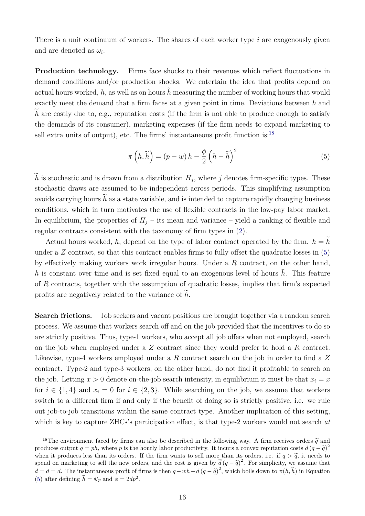There is a unit continuum of workers. The shares of each worker type i are exogenously given and are denoted as  $\omega_i$ .

**Production technology.** Firms face shocks to their revenues which reflect fluctuations in demand conditions and/or production shocks. We entertain the idea that profits depend on actual hours worked, h, as well as on hours h measuring the number of working hours that would exactly meet the demand that a firm faces at a given point in time. Deviations between  $h$  and h are costly due to, e.g., reputation costs (if the firm is not able to produce enough to satisfy the demands of its consumer), marketing expenses (if the firm needs to expand marketing to sell extra units of output), etc. The firms' instantaneous profit function is:<sup>[18](#page-0-0)</sup>

<span id="page-15-0"></span>
$$
\pi\left(h,\widetilde{h}\right) = (p-w)h - \frac{\phi}{2}\left(h - \widetilde{h}\right)^2\tag{5}
$$

h is stochastic and is drawn from a distribution  $H_j$ , where j denotes firm-specific types. These stochastic draws are assumed to be independent across periods. This simplifying assumption avoids carrying hours  $\tilde{h}$  as a state variable, and is intended to capture rapidly changing business conditions, which in turn motivates the use of flexible contracts in the low-pay labor market. In equilibrium, the properties of  $H_i$  – its mean and variance – yield a ranking of flexible and regular contracts consistent with the taxonomy of firm types in [\(2\)](#page-13-0).

Actual hours worked, h, depend on the type of labor contract operated by the firm.  $h = \widetilde{h}$ under a Z contract, so that this contract enables firms to fully offset the quadratic losses in [\(5\)](#page-15-0) by effectively making workers work irregular hours. Under a R contract, on the other hand, h is constant over time and is set fixed equal to an exogenous level of hours h. This feature of R contracts, together with the assumption of quadratic losses, implies that firm's expected profits are negatively related to the variance of  $\widetilde{h}.$ 

**Search frictions.** Job seekers and vacant positions are brought together via a random search process. We assume that workers search off and on the job provided that the incentives to do so are strictly positive. Thus, type-1 workers, who accept all job offers when not employed, search on the job when employed under a Z contract since they would prefer to hold a R contract. Likewise, type-4 workers employed under a R contract search on the job in order to find a Z contract. Type-2 and type-3 workers, on the other hand, do not find it profitable to search on the job. Letting  $x > 0$  denote on-the-job search intensity, in equilibrium it must be that  $x_i = x$ for  $i \in \{1,4\}$  and  $x_i = 0$  for  $i \in \{2,3\}$ . While searching on the job, we assume that workers switch to a different firm if and only if the benefit of doing so is strictly positive, i.e. we rule out job-to-job transitions within the same contract type. Another implication of this setting, which is key to capture ZHCs's participation effect, is that type-2 workers would not search *at*

<sup>&</sup>lt;sup>18</sup>The environment faced by firms can also be described in the following way. A firm receives orders  $\tilde{q}$  and produces output  $q = ph$ , where p is the hourly labor productivity. It incurs a convex reputation costs  $\underline{d} (q - \tilde{q})^2$ <br>when it produces loss than its orders. If the firm wants to sell more than its orders i.e. if  $a > \tilde$ when it produces less than its orders. If the firm wants to sell more than its orders, i.e. if  $q > \tilde{q}$ , it needs to spend on marketing to sell the new orders, and the cost is given by  $\overline{d} (q - \tilde{q})^2$ . For simplicity, we assume that  $\frac{d}{dt} = \overline{d} = d$ . The instantaneous profit of firms is then  $q - wh - d(q - \tilde{q})^2$ , which boils down to  $\pi(h, \tilde{h})$  in Equation [\(5\)](#page-15-0) after defining  $\tilde{h} = \tilde{q}/p$  and  $\phi = 2dp^2$ .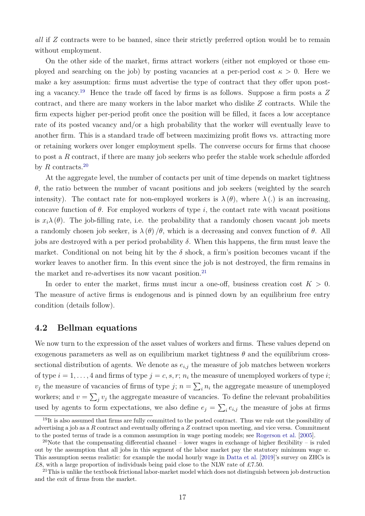*all* if Z contracts were to be banned, since their strictly preferred option would be to remain without employment.

On the other side of the market, firms attract workers (either not employed or those employed and searching on the job) by posting vacancies at a per-period cost  $\kappa > 0$ . Here we make a key assumption: firms must advertise the type of contract that they offer upon post-ing a vacancy.<sup>[19](#page-0-0)</sup> Hence the trade off faced by firms is as follows. Suppose a firm posts a Z contract, and there are many workers in the labor market who dislike Z contracts. While the firm expects higher per-period profit once the position will be filled, it faces a low acceptance rate of its posted vacancy and/or a high probability that the worker will eventually leave to another firm. This is a standard trade off between maximizing profit flows vs. attracting more or retaining workers over longer employment spells. The converse occurs for firms that choose to post a R contract, if there are many job seekers who prefer the stable work schedule afforded by R contracts.<sup>[20](#page-0-0)</sup>

At the aggregate level, the number of contacts per unit of time depends on market tightness θ, the ratio between the number of vacant positions and job seekers (weighted by the search intensity). The contact rate for non-employed workers is  $\lambda(\theta)$ , where  $\lambda(.)$  is an increasing, concave function of  $\theta$ . For employed workers of type i, the contact rate with vacant positions is  $x_i\lambda(\theta)$ . The job-filling rate, i.e. the probability that a randomly chosen vacant job meets a randomly chosen job seeker, is  $\lambda(\theta)/\theta$ , which is a decreasing and convex function of  $\theta$ . All jobs are destroyed with a per period probability  $\delta$ . When this happens, the firm must leave the market. Conditional on not being hit by the  $\delta$  shock, a firm's position becomes vacant if the worker leaves to another firm. In this event since the job is not destroyed, the firm remains in the market and re-advertises its now vacant position. $^{21}$  $^{21}$  $^{21}$ 

In order to enter the market, firms must incur a one-off, business creation cost  $K > 0$ . The measure of active firms is endogenous and is pinned down by an equilibrium free entry condition (details follow).

#### **4.2 Bellman equations**

We now turn to the expression of the asset values of workers and firms. These values depend on exogenous parameters as well as on equilibrium market tightness  $\theta$  and the equilibrium crosssectional distribution of agents. We denote as  $e_{i,j}$  the measure of job matches between workers of type  $i = 1, ..., 4$  and firms of type  $j = c, s, r; n_i$  the measure of unemployed workers of type i;  $v_j$  the measure of vacancies of firms of type  $j; n = \sum_i n_i$  the aggregate measure of unemployed workers; and  $v = \sum_j v_j$  the aggregate measure of vacancies. To define the relevant probabilities used by agents to form expectations, we also define  $e_j = \sum_i e_{i,j}$  the measure of jobs at firms

 $19$ It is also assumed that firms are fully committed to the posted contract. Thus we rule out the possibility of advertising a job as a R contract and eventually offering a  $Z$  contract upon meeting, and vice versa. Commitment to the posted terms of trade is a common assumption in wage posting models; see [Rogerson et al.](#page-38-6) [\[2005\]](#page-38-6).

<sup>&</sup>lt;sup>20</sup>Note that the compensating differential channel – lower wages in exchange of higher flexibility – is ruled out by the assumption that all jobs in this segment of the labor market pay the statutory minimum wage  $w$ . This assumption seems realistic: for example the modal hourly wage in [Datta et al.](#page-37-7) [\[2019\]](#page-37-7)'s survey on ZHCs is £8, with a large proportion of individuals being paid close to the NLW rate of £7.50.

 $^{21}$ This is unlike the textbook frictional labor-market model which does not distinguish between job destruction and the exit of firms from the market.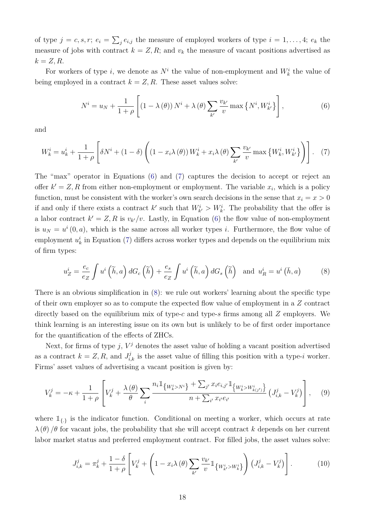of type  $j = c, s, r; e_i = \sum_j e_{i,j}$  the measure of employed workers of type  $i = 1, \ldots, 4; e_k$  the measure of jobs with contract  $k = Z, R$ ; and  $v_k$  the measure of vacant positions advertised as  $k = Z, R$ .

For workers of type *i*, we denote as  $N^i$  the value of non-employment and  $W_k^i$  the value of being employed in a contract  $k = Z, R$ . These asset values solve:

<span id="page-17-0"></span>
$$
N^{i} = u_N + \frac{1}{1+\rho} \left[ \left( 1 - \lambda(\theta) \right) N^{i} + \lambda(\theta) \sum_{k'} \frac{v_{k'}}{v} \max \left\{ N^{i}, W^{i}_{k'} \right\} \right],
$$
 (6)

and

<span id="page-17-1"></span>
$$
W_k^i = u_k^i + \frac{1}{1+\rho} \left[ \delta N^i + (1-\delta) \left( (1-x_i\lambda(\theta)) W_k^i + x_i\lambda(\theta) \sum_{k'} \frac{v_{k'}}{v} \max \left\{ W_k^i, W_{k'}^i \right\} \right) \right]. \tag{7}
$$

The "max" operator in Equations [\(6\)](#page-17-0) and [\(7\)](#page-17-1) captures the decision to accept or reject an offer  $k' = Z, R$  from either non-employment or employment. The variable  $x_i$ , which is a policy function, must be consistent with the worker's own search decisions in the sense that  $x_i = x > 0$ if and only if there exists a contract k' such that  $W_{k'}^i > W_k^i$ . The probability that the offer is a labor contract  $k' = Z, R$  is  $v_{k'}/v$ . Lastly, in Equation [\(6\)](#page-17-0) the flow value of non-employment is  $u_N = u^i(0, a)$ , which is the same across all worker types *i*. Furthermore, the flow value of employment  $u_k^i$  in Equation [\(7\)](#page-17-1) differs across worker types and depends on the equilibrium mix of firm types:

<span id="page-17-2"></span>
$$
u_Z^i = \frac{e_c}{e_Z} \int u^i \left(\tilde{h}, a\right) dG_c \left(\tilde{h}\right) + \frac{e_s}{e_Z} \int u^i \left(\tilde{h}, a\right) dG_s \left(\tilde{h}\right) \text{ and } u_R^i = u^i \left(\bar{h}, a\right) \tag{8}
$$

There is an obvious simplification in [\(8\)](#page-17-2): we rule out workers' learning about the specific type of their own employer so as to compute the expected flow value of employment in a Z contract directly based on the equilibrium mix of type-c and type-s firms among all  $Z$  employers. We think learning is an interesting issue on its own but is unlikely to be of first order importance for the quantification of the effects of ZHCs.

Next, for firms of type  $j$ ,  $V^j$  denotes the asset value of holding a vacant position advertised as a contract  $k = Z, R$ , and  $J_{i,k}^j$  is the asset value of filling this position with a type-i worker. Firms' asset values of advertising a vacant position is given by:

<span id="page-17-4"></span>
$$
V_k^j = -\kappa + \frac{1}{1+\rho} \left[ V_k^j + \frac{\lambda(\theta)}{\theta} \sum_i \frac{n_i \mathbb{1}_{\{W_k^i > N^i\}} + \sum_{j'} x_i e_{i,j'} \mathbb{1}_{\{W_k^i > W_{k(j')}^i\}}}{n + \sum_{i'} x_{i'} e_{i'}} \left( J_{i,k}^j - V_k^j \right) \right], \quad (9)
$$

where  $\mathbb{1}_{\{.\}}$  is the indicator function. Conditional on meeting a worker, which occurs at rate  $\lambda(\theta)$  /θ for vacant jobs, the probability that she will accept contract k depends on her current labor market status and preferred employment contract. For filled jobs, the asset values solve:

<span id="page-17-3"></span>
$$
J_{i,k}^{j} = \pi_{k}^{j} + \frac{1-\delta}{1+\rho} \left[ V_{k}^{j} + \left( 1 - x_{i} \lambda \left( \theta \right) \sum_{k'} \frac{v_{k'}}{v} \mathbb{1}_{\left\{ W_{k'}^{i} > W_{k}^{i} \right\}} \right) \left( J_{i,k}^{j} - V_{k}^{j} \right) \right]. \tag{10}
$$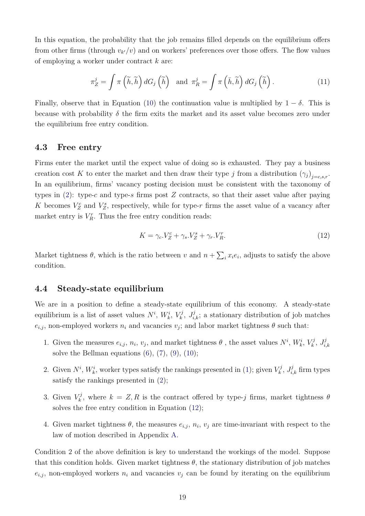In this equation, the probability that the job remains filled depends on the equilibrium offers from other firms (through  $v_{k'}/v$ ) and on workers' preferences over those offers. The flow values of employing a worker under contract k are:

$$
\pi_Z^j = \int \pi\left(\widetilde{h}, \widetilde{h}\right) dG_j\left(\widetilde{h}\right) \text{ and } \pi_R^j = \int \pi\left(\overline{h}, \widetilde{h}\right) dG_j\left(\widetilde{h}\right). \tag{11}
$$

Finally, observe that in Equation [\(10\)](#page-17-3) the continuation value is multiplied by  $1 - \delta$ . This is because with probability  $\delta$  the firm exits the market and its asset value becomes zero under the equilibrium free entry condition.

#### **4.3 Free entry**

Firms enter the market until the expect value of doing so is exhausted. They pay a business creation cost K to enter the market and then draw their type j from a distribution  $(\gamma_j)_{j=c,s,r}$ . In an equilibrium, firms' vacancy posting decision must be consistent with the taxonomy of types in  $(2)$ : type-c and type-s firms post Z contracts, so that their asset value after paying K becomes  $V_Z^c$  and  $V_Z^s$ , respectively, while for type-r firms the asset value of a vacancy after market entry is  $V_R^r$ . Thus the free entry condition reads:

<span id="page-18-0"></span>
$$
K = \gamma_c V_Z^c + \gamma_s V_Z^s + \gamma_r V_R^r. \tag{12}
$$

Market tightness  $\theta$ , which is the ratio between v and  $n + \sum_i x_i e_i$ , adjusts to satisfy the above condition.

#### **4.4 Steady-state equilibrium**

We are in a position to define a steady-state equilibrium of this economy. A steady-state equilibrium is a list of asset values  $N^i$ ,  $W_k^i$ ,  $V_k^j$  $\mathbf{z}_k^{j}$ ,  $J_{i,k}^{j}$ ; a stationary distribution of job matches  $e_{i,j}$ , non-employed workers  $n_i$  and vacancies  $v_j$ ; and labor market tightness  $\theta$  such that:

- 1. Given the measures  $e_{i,j}, n_i, v_j$ , and market tightness  $\theta$ , the asset values  $N^i$ ,  $W^i_k$ ,  $V^j_k$  $\zeta^{j}_{k},\,J^{j}_{i}$ i,k solve the Bellman equations  $(6)$ ,  $(7)$ ,  $(9)$ ,  $(10)$ ;
- 2. Given  $N^i$ ,  $W_k^i$ , worker types satisfy the rankings presented in [\(1\)](#page-13-1); given  $V_k^j$  $V_k^j$ ,  $J_{i,k}^j$  firm types satisfy the rankings presented in [\(2\)](#page-13-0);
- 3. Given  $V_k^j$  $k_k^j$ , where  $k = Z, R$  is the contract offered by type-j firms, market tightness  $\theta$ solves the free entry condition in Equation [\(12\)](#page-18-0);
- 4. Given market tightness  $\theta$ , the measures  $e_{i,j}$ ,  $n_i$ ,  $v_j$  are time-invariant with respect to the law of motion described in Appendix [A.](#page-40-0)

Condition 2 of the above definition is key to understand the workings of the model. Suppose that this condition holds. Given market tightness  $\theta$ , the stationary distribution of job matches  $e_{i,j}$ , non-employed workers  $n_i$  and vacancies  $v_j$  can be found by iterating on the equilibrium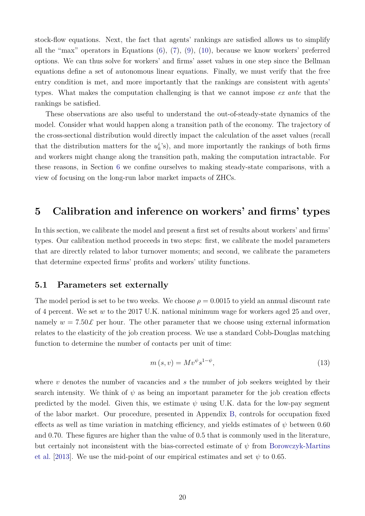stock-flow equations. Next, the fact that agents' rankings are satisfied allows us to simplify all the "max" operators in Equations [\(6\)](#page-17-0), [\(7\)](#page-17-1), [\(9\)](#page-17-4), [\(10\)](#page-17-3), because we know workers' preferred options. We can thus solve for workers' and firms' asset values in one step since the Bellman equations define a set of autonomous linear equations. Finally, we must verify that the free entry condition is met, and more importantly that the rankings are consistent with agents' types. What makes the computation challenging is that we cannot impose *ex ante* that the rankings be satisfied.

These observations are also useful to understand the out-of-steady-state dynamics of the model. Consider what would happen along a transition path of the economy. The trajectory of the cross-sectional distribution would directly impact the calculation of the asset values (recall that the distribution matters for the  $u_k^i$ 's), and more importantly the rankings of both firms and workers might change along the transition path, making the computation intractable. For these reasons, in Section [6](#page-27-0) we confine ourselves to making steady-state comparisons, with a view of focusing on the long-run labor market impacts of ZHCs.

## <span id="page-19-0"></span>**5 Calibration and inference on workers' and firms' types**

In this section, we calibrate the model and present a first set of results about workers' and firms' types. Our calibration method proceeds in two steps: first, we calibrate the model parameters that are directly related to labor turnover moments; and second, we calibrate the parameters that determine expected firms' profits and workers' utility functions.

#### **5.1 Parameters set externally**

The model period is set to be two weeks. We choose  $\rho = 0.0015$  to yield an annual discount rate of 4 percent. We set  $w$  to the 2017 U.K. national minimum wage for workers aged 25 and over, namely  $w = 7.50 \text{ L}$  per hour. The other parameter that we choose using external information relates to the elasticity of the job creation process. We use a standard Cobb-Douglas matching function to determine the number of contacts per unit of time:

$$
m(s, v) = Mv^{\psi}s^{1-\psi},\tag{13}
$$

where  $v$  denotes the number of vacancies and  $s$  the number of job seekers weighted by their search intensity. We think of  $\psi$  as being an important parameter for the job creation effects predicted by the model. Given this, we estimate  $\psi$  using U.K. data for the low-pay segment of the labor market. Our procedure, presented in Appendix [B,](#page-41-0) controls for occupation fixed effects as well as time variation in matching efficiency, and yields estimates of  $\psi$  between 0.60 and 0.70. These figures are higher than the value of 0.5 that is commonly used in the literature, but certainly not inconsistent with the bias-corrected estimate of  $\psi$  from [Borowczyk-Martins](#page-37-11) [et al.](#page-37-11) [\[2013\]](#page-37-11). We use the mid-point of our empirical estimates and set  $\psi$  to 0.65.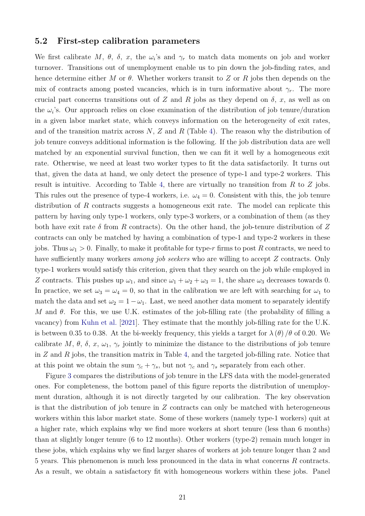#### **5.2 First-step calibration parameters**

We first calibrate M,  $\theta$ ,  $\delta$ , x, the  $\omega_i$ 's and  $\gamma_r$  to match data moments on job and worker turnover. Transitions out of unemployment enable us to pin down the job-finding rates, and hence determine either M or  $\theta$ . Whether workers transit to Z or R jobs then depends on the mix of contracts among posted vacancies, which is in turn informative about  $\gamma_r$ . The more crucial part concerns transitions out of Z and R jobs as they depend on  $\delta$ , x, as well as on the  $\omega_i$ 's. Our approach relies on close examination of the distribution of job tenure/duration in a given labor market state, which conveys information on the heterogeneity of exit rates, and of the transition matrix across  $N$ ,  $Z$  and  $R$  (Table [4\)](#page-12-2). The reason why the distribution of job tenure conveys additional information is the following. If the job distribution data are well matched by an exponential survival function, then we can fit it well by a homogeneous exit rate. Otherwise, we need at least two worker types to fit the data satisfactorily. It turns out that, given the data at hand, we only detect the presence of type-1 and type-2 workers. This result is intuitive. According to Table [4,](#page-12-2) there are virtually no transition from  $R$  to  $Z$  jobs. This rules out the presence of type-4 workers, i.e.  $\omega_4 = 0$ . Consistent with this, the job tenure distribution of R contracts suggests a homogeneous exit rate. The model can replicate this pattern by having only type-1 workers, only type-3 workers, or a combination of them (as they both have exit rate  $\delta$  from R contracts). On the other hand, the job-tenure distribution of Z contracts can only be matched by having a combination of type-1 and type-2 workers in these jobs. Thus  $\omega_1 > 0$ . Finally, to make it profitable for type-r firms to post R contracts, we need to have sufficiently many workers *among job seekers* who are willing to accept Z contracts. Only type-1 workers would satisfy this criterion, given that they search on the job while employed in Z contracts. This pushes up  $\omega_1$ , and since  $\omega_1 + \omega_2 + \omega_3 = 1$ , the share  $\omega_3$  decreases towards 0. In practice, we set  $\omega_3 = \omega_4 = 0$ , so that in the calibration we are left with searching for  $\omega_1$  to match the data and set  $\omega_2 = 1 - \omega_1$ . Last, we need another data moment to separately identify M and  $\theta$ . For this, we use U.K. estimates of the job-filling rate (the probability of filling a vacancy) from [Kuhn et al.](#page-38-7) [\[2021\]](#page-38-7). They estimate that the monthly job-filling rate for the U.K. is between 0.35 to 0.38. At the bi-weekly frequency, this yields a target for  $\lambda(\theta)/\theta$  of 0.20. We calibrate M,  $\theta$ ,  $\delta$ , x,  $\omega_1$ ,  $\gamma_r$  jointly to minimize the distance to the distributions of job tenure in  $Z$  and  $R$  jobs, the transition matrix in Table [4,](#page-12-2) and the targeted job-filling rate. Notice that at this point we obtain the sum  $\gamma_c + \gamma_s$ , but not  $\gamma_c$  and  $\gamma_s$  separately from each other.

Figure [3](#page-22-0) compares the distributions of job tenure in the LFS data with the model-generated ones. For completeness, the bottom panel of this figure reports the distribution of unemployment duration, although it is not directly targeted by our calibration. The key observation is that the distribution of job tenure in  $Z$  contracts can only be matched with heterogeneous workers within this labor market state. Some of these workers (namely type-1 workers) quit at a higher rate, which explains why we find more workers at short tenure (less than 6 months) than at slightly longer tenure (6 to 12 months). Other workers (type-2) remain much longer in these jobs, which explains why we find larger shares of workers at job tenure longer than 2 and 5 years. This phenomenon is much less pronounced in the data in what concerns R contracts. As a result, we obtain a satisfactory fit with homogeneous workers within these jobs. Panel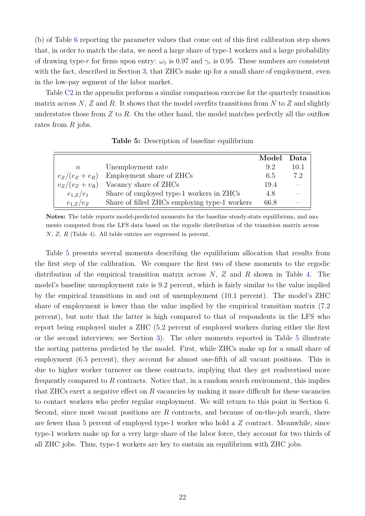(b) of Table [6](#page-24-0) reporting the parameter values that come out of this first calibration step shows that, in order to match the data, we need a large share of type-1 workers and a large probability of drawing type-r for firms upon entry:  $\omega_1$  is 0.97 and  $\gamma_r$  is 0.95. These numbers are consistent with the fact, described in Section [3,](#page-7-0) that ZHCs make up for a small share of employment, even in the low-pay segment of the labor market.

Table [C2](#page-42-1) in the appendix performs a similar comparison exercise for the quarterly transition matrix across  $N$ ,  $Z$  and  $R$ . It shows that the model overfits transitions from  $N$  to  $Z$  and slightly understates those from  $Z$  to  $R$ . On the other hand, the model matches perfectly all the outflow rates from  $R$  jobs.

<span id="page-21-0"></span>

|               |                                               | Model | Data |
|---------------|-----------------------------------------------|-------|------|
| n             | Unemployment rate                             | 9.2   | 10.1 |
|               | $e_Z/(e_Z+e_R)$ Employment share of ZHCs      | 6.5   | 7.2  |
|               | $v_Z/(v_Z + v_R)$ Vacancy share of ZHCs       | 19.4  |      |
| $e_{1,Z}/e_1$ | Share of employed type-1 workers in ZHCs      | 4.8   |      |
| $e_{1,Z}/e_Z$ | Share of filled ZHCs employing type-1 workers | 66.8  |      |

**Table 5:** Description of baseline equilibrium

**Notes:** The table reports model-predicted moments for the baseline steady-state equilibrium, and moments computed from the LFS data based on the ergodic distribution of the transition matrix across N, Z, R (Table [4\)](#page-12-2). All table entries are expressed in percent.

Table [5](#page-21-0) presents several moments describing the equilibrium allocation that results from the first step of the calibration. We compare the first two of these moments to the ergodic distribution of the empirical transition matrix across  $N$ ,  $Z$  and  $R$  shown in Table [4.](#page-12-2) The model's baseline unemployment rate is 9.2 percent, which is fairly similar to the value implied by the empirical transitions in and out of unemployment (10.1 percent). The model's ZHC share of employment is lower than the value implied by the empirical transition matrix (7.2 percent), but note that the latter is high compared to that of respondents in the LFS who report being employed under a ZHC (5.2 percent of employed workers during either the first or the second interviews; see Section [3\)](#page-7-0). The other moments reported in Table [5](#page-21-0) illustrate the sorting patterns predicted by the model. First, while ZHCs make up for a small share of employment (6.5 percent), they account for almost one-fifth of all vacant positions. This is due to higher worker turnover on these contracts, implying that they get readvertised more frequently compared to  $R$  contracts. Notice that, in a random search environment, this implies that ZHCs exert a negative effect on  $R$  vacancies by making it more difficult for these vacancies to contact workers who prefer regular employment. We will return to this point in Section [6.](#page-27-0) Second, since most vacant positions are  $R$  contracts, and because of on-the-job search, there are fewer than 5 percent of employed type-1 worker who hold a Z contract. Meanwhile, since type-1 workers make up for a very large share of the labor force, they account for two thirds of all ZHC jobs. Thus, type-1 workers are key to sustain an equilibrium with ZHC jobs.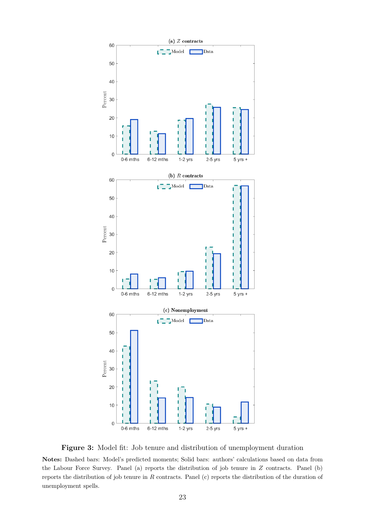<span id="page-22-0"></span>

**Figure 3:** Model fit: Job tenure and distribution of unemployment duration

**Notes:** Dashed bars: Model's predicted moments; Solid bars: authors' calculations based on data from the Labour Force Survey. Panel (a) reports the distribution of job tenure in Z contracts. Panel (b) reports the distribution of job tenure in R contracts. Panel (c) reports the distribution of the duration of unemployment spells.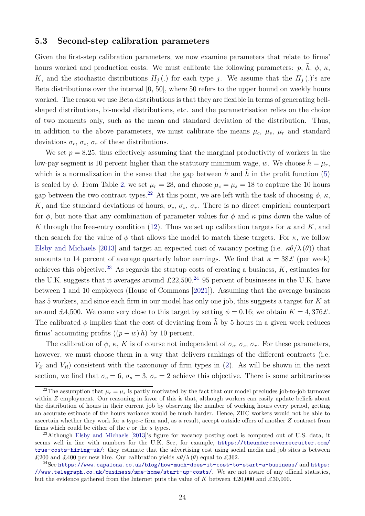#### **5.3 Second-step calibration parameters**

Given the first-step calibration parameters, we now examine parameters that relate to firms' hours worked and production costs. We must calibrate the following parameters:  $p, h, \phi, \kappa$ , K, and the stochastic distributions  $H_i(.)$  for each type j. We assume that the  $H_i(.)$ 's are Beta distributions over the interval [0, 50], where 50 refers to the upper bound on weekly hours worked. The reason we use Beta distributions is that they are flexible in terms of generating bellshaped distributions, bi-modal distributions, etc. and the parametrisation relies on the choice of two moments only, such as the mean and standard deviation of the distribution. Thus, in addition to the above parameters, we must calibrate the means  $\mu_c$ ,  $\mu_s$ ,  $\mu_r$  and standard deviations  $\sigma_c$ ,  $\sigma_s$ ,  $\sigma_r$  of these distributions.

We set  $p = 8.25$ , thus effectively assuming that the marginal productivity of workers in the low-pay segment is 10 percent higher than the statutory minimum wage, w. We choose  $\bar{h} = \mu_r$ , which is a normalization in the sense that the gap between  $\bar{h}$  and  $\tilde{h}$  in the profit function [\(5\)](#page-15-0) is scaled by  $\phi$ . From Table [2,](#page-11-0) we set  $\mu_r = 28$ , and choose  $\mu_c = \mu_s = 18$  to capture the 10 hours gap between the two contract types.<sup>[22](#page-0-0)</sup> At this point, we are left with the task of choosing  $\phi$ ,  $\kappa$ , K, and the standard deviations of hours,  $\sigma_c$ ,  $\sigma_s$ ,  $\sigma_r$ . There is no direct empirical counterpart for  $\phi$ , but note that any combination of parameter values for  $\phi$  and  $\kappa$  pins down the value of K through the free-entry condition [\(12\)](#page-18-0). Thus we set up calibration targets for  $\kappa$  and K, and then search for the value of  $\phi$  that allows the model to match these targets. For  $\kappa$ , we follow [Elsby and Michaels](#page-37-12) [\[2013\]](#page-37-12) and target an expected cost of vacancy posting (i.e.  $\kappa\theta/\lambda(\theta)$ ) that amounts to 14 percent of average quarterly labor earnings. We find that  $\kappa = 38\pounds$  (per week) achieves this objective.<sup>[23](#page-0-0)</sup> As regards the startup costs of creating a business,  $K$ , estimates for the U.K. suggests that it averages around  $\pounds 22,500$ .<sup>[24](#page-0-0)</sup> 95 percent of businesses in the U.K. have between 1 and 10 employees (House of Commons [\[2021\]](#page-38-8)). Assuming that the average business has 5 workers, and since each firm in our model has only one job, this suggests a target for K at around £4,500. We come very close to this target by setting  $\phi = 0.16$ ; we obtain  $K = 4,376\pounds$ . The calibrated  $\phi$  implies that the cost of deviating from  $\hat{h}$  by 5 hours in a given week reduces firms' accounting profits  $((p - w) h)$  by 10 percent.

The calibration of  $\phi$ ,  $\kappa$ , K is of course not independent of  $\sigma_c$ ,  $\sigma_s$ ,  $\sigma_r$ . For these parameters, however, we must choose them in a way that delivers rankings of the different contracts (i.e.  $V_Z$  and  $V_R$ ) consistent with the taxonomy of firm types in [\(2\)](#page-13-0). As will be shown in the next section, we find that  $\sigma_c = 6$ ,  $\sigma_s = 3$ ,  $\sigma_r = 2$  achieve this objective. There is some arbitrariness

<sup>&</sup>lt;sup>22</sup>The assumption that  $\mu_c = \mu_s$  is partly motivated by the fact that our model precludes job-to-job turnover within Z employment. Our reasoning in favor of this is that, although workers can easily update beliefs about the distribution of hours in their current job by observing the number of working hours every period, getting an accurate estimate of the hours variance would be much harder. Hence, ZHC workers would not be able to ascertain whether they work for a type- $c$  firm and, as a result, accept outside offers of another  $Z$  contract from firms which could be either of the c or the s types.

<sup>23</sup>Although [Elsby and Michaels](#page-37-12) [\[2013\]](#page-37-12)'s figure for vacancy posting cost is computed out of U.S. data, it seems well in line with numbers for the U.K. See, for example, [https://theundercoverrecruiter.com/](https://theundercoverrecruiter.com/true-costs-hiring-uk/) [true-costs-hiring-uk/](https://theundercoverrecruiter.com/true-costs-hiring-uk/): they estimate that the advertising cost using social media and job sites is between £200 and £400 per new hire. Our calibration yields  $\kappa\theta/\lambda(\theta)$  equal to £362.

 $24$ See <https://www.capalona.co.uk/blog/how-much-does-it-cost-to-start-a-business/> and [https:](https://www.telegraph.co.uk/business/sme-home/start-up-costs/) [//www.telegraph.co.uk/business/sme-home/start-up-costs/](https://www.telegraph.co.uk/business/sme-home/start-up-costs/). We are not aware of any official statistics, but the evidence gathered from the Internet puts the value of K between £20,000 and £30,000.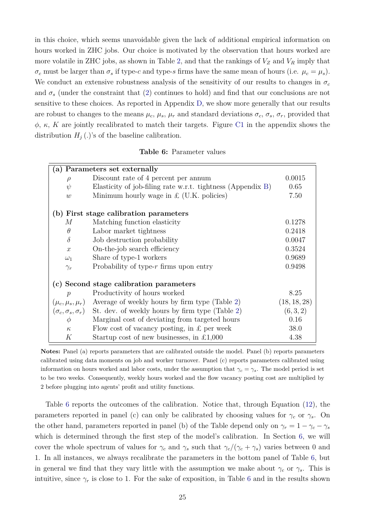in this choice, which seems unavoidable given the lack of additional empirical information on hours worked in ZHC jobs. Our choice is motivated by the observation that hours worked are more volatile in ZHC jobs, as shown in Table [2,](#page-13-0) and that the rankings of  $V_Z$  and  $V_R$  imply that  $\sigma_c$  must be larger than  $\sigma_s$  if type-c and type-s firms have the same mean of hours (i.e.  $\mu_c = \mu_s$ ). We conduct an extensive robustness analysis of the sensitivity of our results to changes in  $\sigma_c$ and  $\sigma_s$  (under the constraint that [\(2\)](#page-13-0) continues to hold) and find that our conclusions are not sensitive to these choices. As reported in Appendix [D,](#page-43-0) we show more generally that our results are robust to changes to the means  $\mu_c$ ,  $\mu_s$ ,  $\mu_r$  and standard deviations  $\sigma_c$ ,  $\sigma_s$ ,  $\sigma_r$ , provided that  $\phi$ ,  $\kappa$ , K are jointly recalibrated to match their targets. Figure [C1](#page-43-1) in the appendix shows the distribution  $H_j(.)$ 's of the baseline calibration.

**Table 6:** Parameter values

<span id="page-24-0"></span>

|                                  | (a) Parameters set externally                               |              |
|----------------------------------|-------------------------------------------------------------|--------------|
| $\rho$                           | Discount rate of 4 percent per annum                        | 0.0015       |
| $\psi$                           | Elasticity of job-filing rate w.r.t. tightness (Appendix B) | 0.65         |
| w                                | Minimum hourly wage in $\pounds$ (U.K. policies)            | 7.50         |
|                                  | (b) First stage calibration parameters                      |              |
| М                                | Matching function elasticity                                | 0.1278       |
| $\theta$                         | Labor market tightness                                      | 0.2418       |
| $\delta$                         | Job destruction probability                                 | 0.0047       |
| $\boldsymbol{x}$                 | On-the-job search efficiency                                | 0.3524       |
| $\omega_1$                       | Share of type-1 workers                                     | 0.9689       |
| $\gamma_r$                       | Probability of type- $r$ firms upon entry                   | 0.9498       |
|                                  | (c) Second stage calibration parameters                     |              |
| $\mathcal{D}$                    | Productivity of hours worked                                | 8.25         |
| $(\mu_c, \mu_s, \mu_r)$          | Average of weekly hours by firm type (Table 2)              | (18, 18, 28) |
| $(\sigma_c, \sigma_s, \sigma_r)$ | St. dev. of weekly hours by firm type (Table 2)             | (6, 3, 2)    |
| $\phi$                           | Marginal cost of deviating from targeted hours              | 0.16         |
| $\kappa$                         | Flow cost of vacancy posting, in $\pounds$ per week         | 38.0         |
| К                                | Startup cost of new businesses, in $\pounds1,000$           | 4.38         |

**Notes:** Panel (a) reports parameters that are calibrated outside the model. Panel (b) reports parameters calibrated using data moments on job and worker turnover. Panel (c) reports parameters calibrated using information on hours worked and labor costs, under the assumption that  $\gamma_c = \gamma_s$ . The model period is set to be two weeks. Consequently, weekly hours worked and the flow vacancy posting cost are multiplied by 2 before plugging into agents' profit and utility functions.

Table [6](#page-24-0) reports the outcomes of the calibration. Notice that, through Equation [\(12\)](#page-18-0), the parameters reported in panel (c) can only be calibrated by choosing values for  $\gamma_c$  or  $\gamma_s$ . On the other hand, parameters reported in panel (b) of the Table depend only on  $\gamma_r = 1 - \gamma_c - \gamma_s$ which is determined through the first step of the model's calibration. In Section [6,](#page-27-0) we will cover the whole spectrum of values for  $\gamma_c$  and  $\gamma_s$  such that  $\gamma_c/(\gamma_c + \gamma_s)$  varies between 0 and 1. In all instances, we always recalibrate the parameters in the bottom panel of Table [6,](#page-24-0) but in general we find that they vary little with the assumption we make about  $\gamma_c$  or  $\gamma_s$ . This is intuitive, since  $\gamma_r$  is close to 1. For the sake of exposition, in Table [6](#page-24-0) and in the results shown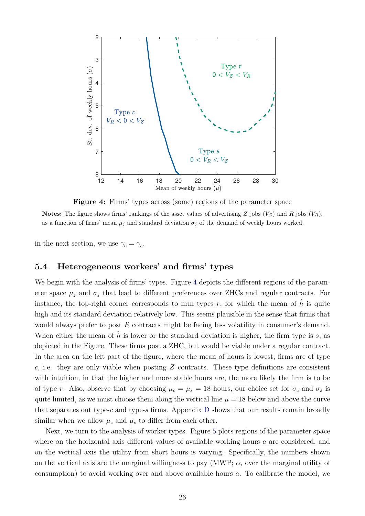<span id="page-25-1"></span>

**Figure 4:** Firms' types across (some) regions of the parameter space

**Notes:** The figure shows firms' rankings of the asset values of advertising Z jobs  $(V_Z)$  and R jobs  $(V_R)$ , as a function of firms' mean  $\mu_j$  and standard deviation  $\sigma_j$  of the demand of weekly hours worked.

<span id="page-25-0"></span>in the next section, we use  $\gamma_c = \gamma_s$ .

### **5.4 Heterogeneous workers' and firms' types**

We begin with the analysis of firms' types. Figure [4](#page-25-1) depicts the different regions of the parameter space  $\mu_j$  and  $\sigma_j$  that lead to different preferences over ZHCs and regular contracts. For instance, the top-right corner corresponds to firm types r, for which the mean of h is quite high and its standard deviation relatively low. This seems plausible in the sense that firms that would always prefer to post R contracts might be facing less volatility in consumer's demand. When either the mean of  $\tilde{h}$  is lower or the standard deviation is higher, the firm type is s, as depicted in the Figure. These firms post a ZHC, but would be viable under a regular contract. In the area on the left part of the figure, where the mean of hours is lowest, firms are of type c, i.e. they are only viable when posting  $Z$  contracts. These type definitions are consistent with intuition, in that the higher and more stable hours are, the more likely the firm is to be of type r. Also, observe that by choosing  $\mu_c = \mu_s = 18$  hours, our choice set for  $\sigma_c$  and  $\sigma_s$  is quite limited, as we must choose them along the vertical line  $\mu = 18$  below and above the curve that separates out type-c and type-s firms. Appendix  $D$  shows that our results remain broadly similar when we allow  $\mu_c$  and  $\mu_s$  to differ from each other.

Next, we turn to the analysis of worker types. Figure [5](#page-26-0) plots regions of the parameter space where on the horizontal axis different values of available working hours  $a$  are considered, and on the vertical axis the utility from short hours is varying. Specifically, the numbers shown on the vertical axis are the marginal willingness to pay (MWP;  $\alpha_i$  over the marginal utility of consumption) to avoid working over and above available hours a. To calibrate the model, we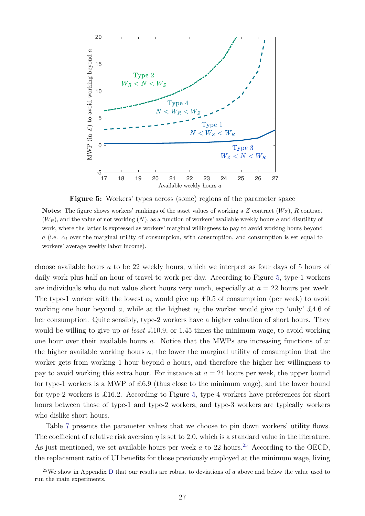<span id="page-26-0"></span>

**Figure 5:** Workers' types across (some) regions of the parameter space

**Notes:** The figure shows workers' rankings of the asset values of working a  $Z$  contract  $(W_Z)$ , R contract  $(W_R)$ , and the value of not working  $(N)$ , as a function of workers' available weekly hours a and disutility of work, where the latter is expressed as workers' marginal willingness to pay to avoid working hours beyond a (i.e.  $\alpha_i$  over the marginal utility of consumption, with consumption, and consumption is set equal to workers' average weekly labor income).

choose available hours a to be 22 weekly hours, which we interpret as four days of 5 hours of daily work plus half an hour of travel-to-work per day. According to Figure [5,](#page-26-0) type-1 workers are individuals who do not value short hours very much, especially at  $a = 22$  hours per week. The type-1 worker with the lowest  $\alpha_i$  would give up £0.5 of consumption (per week) to avoid working one hour beyond a, while at the highest  $\alpha_i$  the worker would give up 'only' £4.6 of her consumption. Quite sensibly, type-2 workers have a higher valuation of short hours. They would be willing to give up *at least* £10.9, or 1.45 times the minimum wage, to avoid working one hour over their available hours  $a$ . Notice that the MWPs are increasing functions of  $a$ : the higher available working hours  $a$ , the lower the marginal utility of consumption that the worker gets from working 1 hour beyond a hours, and therefore the higher her willingness to pay to avoid working this extra hour. For instance at  $a = 24$  hours per week, the upper bound for type-1 workers is a MWP of £6.9 (thus close to the minimum wage), and the lower bound for type-2 workers is £16.2. According to Figure [5,](#page-26-0) type-4 workers have preferences for short hours between those of type-1 and type-2 workers, and type-3 workers are typically workers who dislike short hours.

Table [7](#page-27-1) presents the parameter values that we choose to pin down workers' utility flows. The coefficient of relative risk aversion  $\eta$  is set to 2.0, which is a standard value in the literature. As just mentioned, we set available hours per week a to 22 hours.<sup>[25](#page-0-0)</sup> According to the OECD, the replacement ratio of UI benefits for those previously employed at the minimum wage, living

<sup>&</sup>lt;sup>25</sup>We show in Appendix [D](#page-43-0) that our results are robust to deviations of a above and below the value used to run the main experiments.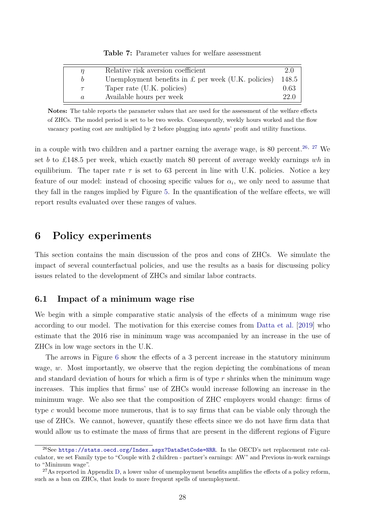<span id="page-27-1"></span>

|          | Relative risk aversion coefficient                          |       |
|----------|-------------------------------------------------------------|-------|
|          | Unemployment benefits in $\pounds$ per week (U.K. policies) | 148.5 |
| $\tau$   | Taper rate (U.K. policies)                                  | 0.63  |
| $\alpha$ | Available hours per week                                    | 22.0  |

**Table 7:** Parameter values for welfare assessment

**Notes:** The table reports the parameter values that are used for the assessment of the welfare effects of ZHCs. The model period is set to be two weeks. Consequently, weekly hours worked and the flow vacancy posting cost are multiplied by 2 before plugging into agents' profit and utility functions.

in a couple with two children and a partner earning the average wage, is 80 percent.<sup>[26](#page-0-0), [27](#page-0-0)</sup> We set b to £148.5 per week, which exactly match 80 percent of average weekly earnings  $wh$  in equilibrium. The taper rate  $\tau$  is set to 63 percent in line with U.K. policies. Notice a key feature of our model: instead of choosing specific values for  $\alpha_i$ , we only need to assume that they fall in the ranges implied by Figure [5.](#page-26-0) In the quantification of the welfare effects, we will report results evaluated over these ranges of values.

## <span id="page-27-0"></span>**6 Policy experiments**

This section contains the main discussion of the pros and cons of ZHCs. We simulate the impact of several counterfactual policies, and use the results as a basis for discussing policy issues related to the development of ZHCs and similar labor contracts.

#### **6.1 Impact of a minimum wage rise**

We begin with a simple comparative static analysis of the effects of a minimum wage rise according to our model. The motivation for this exercise comes from [Datta et al.](#page-37-7) [\[2019\]](#page-37-7) who estimate that the 2016 rise in minimum wage was accompanied by an increase in the use of ZHCs in low wage sectors in the U.K.

The arrows in Figure [6](#page-28-0) show the effects of a 3 percent increase in the statutory minimum wage,  $w$ . Most importantly, we observe that the region depicting the combinations of mean and standard deviation of hours for which a firm is of type  $r$  shrinks when the minimum wage increases. This implies that firms' use of ZHCs would increase following an increase in the minimum wage. We also see that the composition of ZHC employers would change: firms of type c would become more numerous, that is to say firms that can be viable only through the use of ZHCs. We cannot, however, quantify these effects since we do not have firm data that would allow us to estimate the mass of firms that are present in the different regions of Figure

<sup>26</sup>See <https://stats.oecd.org/Index.aspx?DataSetCode=NRR>. In the OECD's net replacement rate calculator, we set Family type to "Couple with 2 children - partner's earnings: AW" and Previous in-work earnings to "Minimum wage".

 $^{27}$ As reported in Appendix [D,](#page-43-0) a lower value of unemployment benefits amplifies the effects of a policy reform, such as a ban on ZHCs, that leads to more frequent spells of unemployment.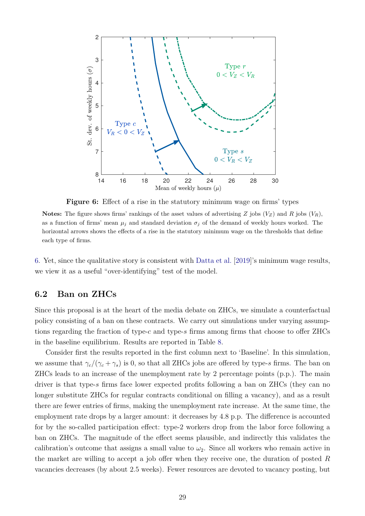<span id="page-28-0"></span>

**Figure 6:** Effect of a rise in the statutory minimum wage on firms' types

**Notes:** The figure shows firms' rankings of the asset values of advertising Z jobs  $(V_Z)$  and R jobs  $(V_R)$ , as a function of firms' mean  $\mu_i$  and standard deviation  $\sigma_i$  of the demand of weekly hours worked. The horizontal arrows shows the effects of a rise in the statutory minimum wage on the thresholds that define each type of firms.

[6.](#page-28-0) Yet, since the qualitative story is consistent with [Datta et al.](#page-37-7) [\[2019\]](#page-37-7)'s minimum wage results, we view it as a useful "over-identifying" test of the model.

### **6.2 Ban on ZHCs**

Since this proposal is at the heart of the media debate on ZHCs, we simulate a counterfactual policy consisting of a ban on these contracts. We carry out simulations under varying assumptions regarding the fraction of type-c and type-s firms among firms that choose to offer ZHCs in the baseline equilibrium. Results are reported in Table [8.](#page-30-0)

Consider first the results reported in the first column next to 'Baseline'. In this simulation, we assume that  $\gamma_c/(\gamma_c + \gamma_s)$  is 0, so that all ZHCs jobs are offered by type-s firms. The ban on ZHCs leads to an increase of the unemployment rate by 2 percentage points (p.p.). The main driver is that type-s firms face lower expected profits following a ban on ZHCs (they can no longer substitute ZHCs for regular contracts conditional on filling a vacancy), and as a result there are fewer entries of firms, making the unemployment rate increase. At the same time, the employment rate drops by a larger amount: it decreases by 4.8 p.p. The difference is accounted for by the so-called participation effect: type-2 workers drop from the labor force following a ban on ZHCs. The magnitude of the effect seems plausible, and indirectly this validates the calibration's outcome that assigns a small value to  $\omega_2$ . Since all workers who remain active in the market are willing to accept a job offer when they receive one, the duration of posted  $R$ vacancies decreases (by about 2.5 weeks). Fewer resources are devoted to vacancy posting, but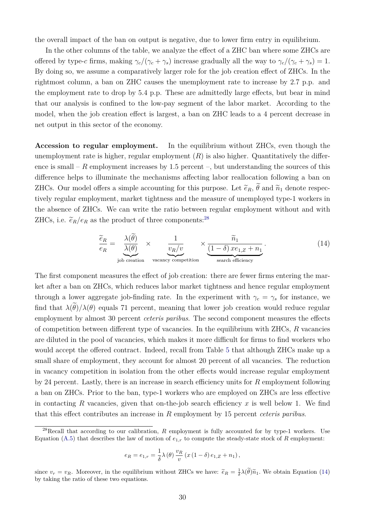the overall impact of the ban on output is negative, due to lower firm entry in equilibrium.

In the other columns of the table, we analyze the effect of a ZHC ban where some ZHCs are offered by type-c firms, making  $\gamma_c/(\gamma_c + \gamma_s)$  increase gradually all the way to  $\gamma_c/(\gamma_c + \gamma_s) = 1$ . By doing so, we assume a comparatively larger role for the job creation effect of ZHCs. In the rightmost column, a ban on ZHC causes the unemployment rate to increase by 2.7 p.p. and the employment rate to drop by 5.4 p.p. These are admittedly large effects, but bear in mind that our analysis is confined to the low-pay segment of the labor market. According to the model, when the job creation effect is largest, a ban on ZHC leads to a 4 percent decrease in net output in this sector of the economy.

**Accession to regular employment.** In the equilibrium without ZHCs, even though the unemployment rate is higher, regular employment  $(R)$  is also higher. Quantitatively the difference is small – R employment increases by 1.5 percent –, but understanding the sources of this difference helps to illuminate the mechanisms affecting labor reallocation following a ban on ZHCs. Our model offers a simple accounting for this purpose. Let  $\tilde{e}_R$ ,  $\tilde{\theta}$  and  $\tilde{n}_1$  denote respectively regular employment, market tightness and the measure of unemployed type-1 workers in the absence of ZHCs. We can write the ratio between regular employment without and with ZHCs, i.e.  $\tilde{e}_R/e_R$  as the product of three components:<sup>[28](#page-0-0)</sup>

<span id="page-29-0"></span>
$$
\frac{\widetilde{e}_R}{e_R} = \underbrace{\frac{\lambda(\widetilde{\theta})}{\lambda(\theta)}}_{\text{job creation}} \times \underbrace{\frac{1}{v_R/v}}_{\text{vacancy competition}} \times \underbrace{\frac{\widetilde{n}_1}{(1-\delta) \, xe_{1,Z} + n_1}}_{\text{search efficiency}}.
$$
\n(14)

The first component measures the effect of job creation: there are fewer firms entering the market after a ban on ZHCs, which reduces labor market tightness and hence regular employment through a lower aggregate job-finding rate. In the experiment with  $\gamma_c = \gamma_s$  for instance, we find that  $\lambda(\widetilde{\theta})/\lambda(\theta)$  equals 71 percent, meaning that lower job creation would reduce regular employment by almost 30 percent *ceteris paribus*. The second component measures the effects of competition between different type of vacancies. In the equilibrium with  $ZHCs$ , R vacancies are diluted in the pool of vacancies, which makes it more difficult for firms to find workers who would accept the offered contract. Indeed, recall from Table [5](#page-21-0) that although ZHCs make up a small share of employment, they account for almost 20 percent of all vacancies. The reduction in vacancy competition in isolation from the other effects would increase regular employment by 24 percent. Lastly, there is an increase in search efficiency units for  $R$  employment following a ban on ZHCs. Prior to the ban, type-1 workers who are employed on ZHCs are less effective in contacting R vacancies, given that on-the-job search efficiency x is well below 1. We find that this effect contributes an increase in R employment by 15 percent *ceteris paribus*.

$$
e_R = e_{1,r} = \frac{1}{\delta} \lambda (\theta) \frac{v_R}{v} (x (1 - \delta) e_{1,Z} + n_1),
$$

since  $v_r = v_R$ . Moreover, in the equilibrium without ZHCs we have:  $\tilde{e}_R = \frac{1}{\delta} \lambda(\tilde{\theta}) \tilde{n}_1$ . We obtain Equation [\(14\)](#page-29-0) by taking the ratio of these two equations.

<sup>&</sup>lt;sup>28</sup>Recall that according to our calibration, R employment is fully accounted for by type-1 workers. Use Equation [\(A.5\)](#page-40-1) that describes the law of motion of  $e_{1,r}$  to compute the steady-state stock of R employment: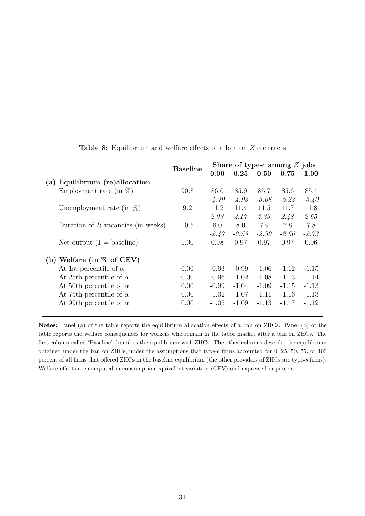<span id="page-30-0"></span>

|                                      | <b>Baseline</b> | Share of type- $c$ among $Z$ jobs |         |         |         |         |
|--------------------------------------|-----------------|-----------------------------------|---------|---------|---------|---------|
|                                      |                 | 0.00                              | 0.25    | 0.50    | 0.75    | 1.00    |
| (a) Equilibrium (re)allocation       |                 |                                   |         |         |         |         |
| Employment rate (in $\%$ )           | 90.8            | 86.0                              | 85.9    | 85.7    | 85.6    | 85.4    |
|                                      |                 | $-4.79$                           | $-4.93$ | $-5.08$ | $-5.23$ | $-5.40$ |
| Unemployment rate (in $\%$ )         | 9.2             | 11.2                              | 11.4    | 11.5    | 11.7    | 11.8    |
|                                      |                 | 2.03                              | 2.17    | 2.33    | 2.48    | 2.65    |
| Duration of $R$ vacancies (in weeks) | 10.5            | 8.0                               | 8.0     | 7.9     | 7.8     | 7.8     |
|                                      |                 | $-2.47$                           | $-2.53$ | $-2.59$ | $-2.66$ | $-2.73$ |
| Net output $(1 = \text{baseline})$   | 1.00            | 0.98                              | 0.97    | 0.97    | 0.97    | 0.96    |
| (b) Welfare (in $\%$ of CEV)         |                 |                                   |         |         |         |         |
| At 1st percentile of $\alpha$        | 0.00            | $-0.93$                           | $-0.99$ | $-1.06$ | $-1.12$ | $-1.15$ |
| At 25th percentile of $\alpha$       | 0.00            | $-0.96$                           | $-1.02$ | $-1.08$ | $-1.13$ | $-1.14$ |
| At 50th percentile of $\alpha$       | 0.00            | $-0.99$                           | $-1.04$ | $-1.09$ | $-1.15$ | $-1.13$ |
| At 75th percentile of $\alpha$       | 0.00            | $-1.02$                           | $-1.07$ | $-1.11$ | $-1.16$ | $-1.13$ |
| At 99th percentile of $\alpha$       | 0.00            | $-1.05$                           | $-1.09$ | $-1.13$ | $-1.17$ | $-1.12$ |

**Table 8:** Equilibrium and welfare effects of a ban on Z contracts

**Notes:** Panel (a) of the table reports the equilibrium allocation effects of a ban on ZHCs. Panel (b) of the table reports the welfare consequences for workers who remain in the labor market after a ban on ZHCs. The first column called 'Baseline' describes the equilibrium with ZHCs. The other columns describe the equilibrium obtained under the ban on ZHCs, under the assumptions that type-c firms accounted for 0, 25, 50, 75, or 100 percent of all firms that offered ZHCs in the baseline equilibrium (the other providers of ZHCs are type-s firms). Welfare effects are computed in consumption equivalent variation (CEV) and expressed in percent.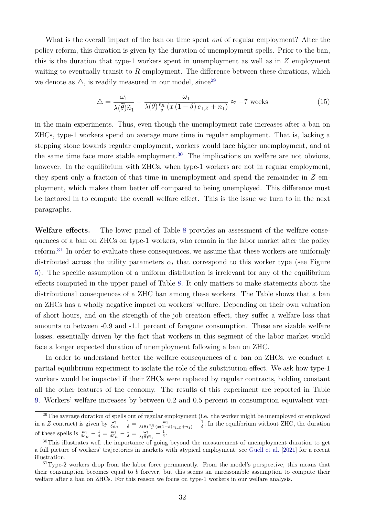What is the overall impact of the ban on time spent *out* of regular employment? After the policy reform, this duration is given by the duration of unemployment spells. Prior to the ban, this is the duration that type-1 workers spent in unemployment as well as in Z employment waiting to eventually transit to  $R$  employment. The difference between these durations, which we denote as  $\triangle$ , is readily measured in our model, since<sup>[29](#page-0-0)</sup>

$$
\Delta = \frac{\omega_1}{\lambda(\tilde{\theta})\tilde{n}_1} - \frac{\omega_1}{\lambda(\theta)\frac{v_R}{v}\left(x\left(1-\delta\right)e_{1,Z} + n_1\right)} \approx -7 \text{ weeks}
$$
\n(15)

in the main experiments. Thus, even though the unemployment rate increases after a ban on ZHCs, type-1 workers spend on average more time in regular employment. That is, lacking a stepping stone towards regular employment, workers would face higher unemployment, and at the same time face more stable employment.<sup>[30](#page-0-0)</sup> The implications on welfare are not obvious, however. In the equilibrium with ZHCs, when type-1 workers are not in regular employment, they spent only a fraction of that time in unemployment and spend the remainder in Z employment, which makes them better off compared to being unemployed. This difference must be factored in to compute the overall welfare effect. This is the issue we turn to in the next paragraphs.

**Welfare effects.** The lower panel of Table [8](#page-30-0) provides an assessment of the welfare consequences of a ban on ZHCs on type-1 workers, who remain in the labor market after the policy reform.[31](#page-0-0) In order to evaluate these consequences, we assume that these workers are uniformly distributed across the utility parameters  $\alpha_i$  that correspond to this worker type (see Figure [5\)](#page-26-0). The specific assumption of a uniform distribution is irrelevant for any of the equilibrium effects computed in the upper panel of Table [8.](#page-30-0) It only matters to make statements about the distributional consequences of a ZHC ban among these workers. The Table shows that a ban on ZHCs has a wholly negative impact on workers' welfare. Depending on their own valuation of short hours, and on the strength of the job creation effect, they suffer a welfare loss that amounts to between -0.9 and -1.1 percent of foregone consumption. These are sizable welfare losses, essentially driven by the fact that workers in this segment of the labor market would face a longer expected duration of unemployment following a ban on ZHC.

In order to understand better the welfare consequences of a ban on ZHCs, we conduct a partial equilibrium experiment to isolate the role of the substitution effect. We ask how type-1 workers would be impacted if their ZHCs were replaced by regular contracts, holding constant all the other features of the economy. The results of this experiment are reported in Table [9.](#page-32-0) Workers' welfare increases by between 0.2 and 0.5 percent in consumption equivalent vari-

<sup>&</sup>lt;sup>29</sup>The average duration of spells out of regular employment (i.e. the worker might be unemployed or employed in a Z contract) is given by  $\frac{\omega_1}{\delta e_R} - \frac{1}{\delta} = \frac{\omega_1}{\lambda(\theta) \frac{v_R}{v}(x(1-\delta)e_{1,Z}+n_1)} - \frac{1}{\delta}$ . In the equilibrium without ZHC, the duration of these spells is  $\frac{\omega_1}{\delta e_R} - \frac{1}{\delta} = \frac{\omega_1}{\delta \tilde{e}_R} - \frac{1}{\delta} = \frac{\omega_1}{\lambda(\tilde{\theta})}$  $\frac{\omega_1}{\lambda(\widetilde{\theta})\widetilde{n}_1} - \frac{1}{\delta}.$ 

<sup>&</sup>lt;sup>30</sup>This illustrates well the importance of going beyond the measurement of unemployment duration to get a full picture of workers' trajectories in markets with atypical employment; see [Güell et al.](#page-38-9) [\[2021\]](#page-38-9) for a recent illustration.

 $31$ Type-2 workers drop from the labor force permanently. From the model's perspective, this means that their consumption becomes equal to b forever, but this seems an unreasonable assumption to compute their welfare after a ban on ZHCs. For this reason we focus on type-1 workers in our welfare analysis.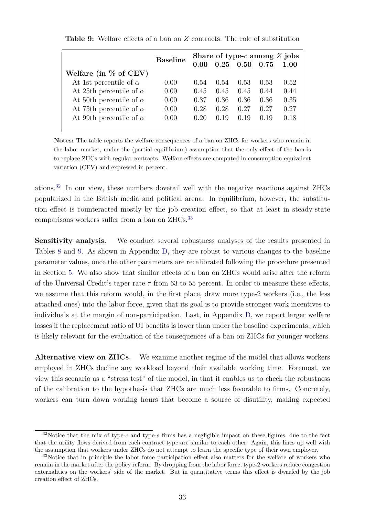|                                |      |      |      |      | Share of type-c among $Z$ jobs<br><b>Baseline</b> |      |
|--------------------------------|------|------|------|------|---------------------------------------------------|------|
|                                |      | 0.00 | 0.25 | 0.50 | 0.75                                              | 1.00 |
| Welfare (in $\%$ of CEV)       |      |      |      |      |                                                   |      |
| At 1st percentile of $\alpha$  | 0.00 | 0.54 | 0.54 | 0.53 | 0.53                                              | 0.52 |
| At 25th percentile of $\alpha$ | 0.00 | 0.45 | 0.45 | 0.45 | 0.44                                              | 0.44 |
| At 50th percentile of $\alpha$ | 0.00 | 0.37 | 0.36 | 0.36 | 0.36                                              | 0.35 |
| At 75th percentile of $\alpha$ | 0.00 | 0.28 | 0.28 | 0.27 | 0.27                                              | 0.27 |
| At 99th percentile of $\alpha$ | 0.00 | 0.20 | 0.19 | 0.19 | 0.19                                              | 0.18 |
|                                |      |      |      |      |                                                   |      |

<span id="page-32-0"></span>**Table 9:** Welfare effects of a ban on Z contracts: The role of substitution

**Notes:** The table reports the welfare consequences of a ban on ZHCs for workers who remain in the labor market, under the (partial equilibrium) assumption that the only effect of the ban is to replace ZHCs with regular contracts. Welfare effects are computed in consumption equivalent variation (CEV) and expressed in percent.

ations.[32](#page-0-0) In our view, these numbers dovetail well with the negative reactions against ZHCs popularized in the British media and political arena. In equilibrium, however, the substitution effect is counteracted mostly by the job creation effect, so that at least in steady-state comparisons workers suffer from a ban on ZHCs.<sup>[33](#page-0-0)</sup>

**Sensitivity analysis.** We conduct several robustness analyses of the results presented in Tables [8](#page-30-0) and [9.](#page-32-0) As shown in Appendix [D,](#page-43-0) they are robust to various changes to the baseline parameter values, once the other parameters are recalibrated following the procedure presented in Section [5.](#page-19-0) We also show that similar effects of a ban on ZHCs would arise after the reform of the Universal Credit's taper rate  $\tau$  from 63 to 55 percent. In order to measure these effects, we assume that this reform would, in the first place, draw more type-2 workers (i.e., the less attached ones) into the labor force, given that its goal is to provide stronger work incentives to individuals at the margin of non-participation. Last, in Appendix [D,](#page-43-0) we report larger welfare losses if the replacement ratio of UI benefits is lower than under the baseline experiments, which is likely relevant for the evaluation of the consequences of a ban on ZHCs for younger workers.

**Alternative view on ZHCs.** We examine another regime of the model that allows workers employed in ZHCs decline any workload beyond their available working time. Foremost, we view this scenario as a "stress test" of the model, in that it enables us to check the robustness of the calibration to the hypothesis that ZHCs are much less favorable to firms. Concretely, workers can turn down working hours that become a source of disutility, making expected

 $32$ Notice that the mix of type-c and type-s firms has a negligible impact on these figures, due to the fact that the utility flows derived from each contract type are similar to each other. Again, this lines up well with the assumption that workers under ZHCs do not attempt to learn the specific type of their own employer.

<sup>&</sup>lt;sup>33</sup>Notice that in principle the labor force participation effect also matters for the welfare of workers who remain in the market after the policy reform. By dropping from the labor force, type-2 workers reduce congestion externalities on the workers' side of the market. But in quantitative terms this effect is dwarfed by the job creation effect of ZHCs.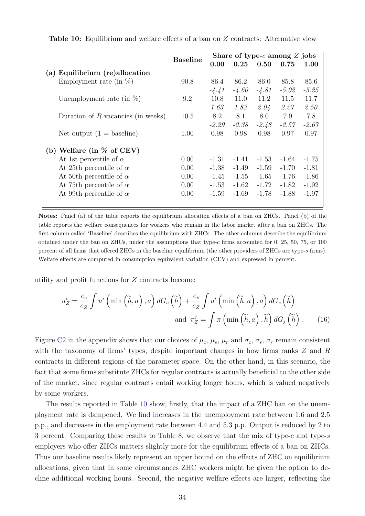|                                      | <b>Baseline</b> | Share of type- $c$ among $Z$ jobs |         |         |         |         |
|--------------------------------------|-----------------|-----------------------------------|---------|---------|---------|---------|
|                                      |                 | 0.00                              | 0.25    | 0.50    | 0.75    | 1.00    |
| Equilibrium (re)allocation<br>(a)    |                 |                                   |         |         |         |         |
| Employment rate (in $\%$ )           | 90.8            | 86.4                              | 86.2    | 86.0    | 85.8    | 85.6    |
|                                      |                 | $-4.41$                           | $-4.60$ | $-4.81$ | $-5.02$ | $-5.25$ |
| Unemployment rate (in $\%$ )         | 9.2             | 10.8                              | 11.0    | 11.2    | 11.5    | 11.7    |
|                                      |                 | 1.63                              | 1.83    | 2.04    | 2.27    | 2.50    |
| Duration of $R$ vacancies (in weeks) | 10.5            | 8.2                               | 8.1     | 8.0     | 7.9     | 7.8     |
|                                      |                 | $-2.29$                           | $-2.38$ | $-2.48$ | $-2.57$ | $-2.67$ |
| Net output $(1 = \text{baseline})$   | 1.00            | 0.98                              | 0.98    | 0.98    | 0.97    | 0.97    |
| (b) Welfare (in $\%$ of CEV)         |                 |                                   |         |         |         |         |
| At 1st percentile of $\alpha$        | 0.00            | $-1.31$                           | $-1.41$ | $-1.53$ | $-1.64$ | $-1.75$ |
| At 25th percentile of $\alpha$       | 0.00            | $-1.38$                           | $-1.49$ | $-1.59$ | $-1.70$ | $-1.81$ |
| At 50th percentile of $\alpha$       | 0.00            | $-1.45$                           | $-1.55$ | $-1.65$ | $-1.76$ | $-1.86$ |
| At 75th percentile of $\alpha$       | 0.00            | $-1.53$                           | $-1.62$ | $-1.72$ | $-1.82$ | $-1.92$ |
| At 99th percentile of $\alpha$       | 0.00            | $-1.59$                           | $-1.69$ | $-1.78$ | $-1.88$ | $-1.97$ |

<span id="page-33-0"></span>Table 10: Equilibrium and welfare effects of a ban on Z contracts: Alternative view

**Notes:** Panel (a) of the table reports the equilibrium allocation effects of a ban on ZHCs. Panel (b) of the table reports the welfare consequences for workers who remain in the labor market after a ban on ZHCs. The first column called 'Baseline' describes the equilibrium with ZHCs. The other columns describe the equilibrium obtained under the ban on ZHCs, under the assumptions that type- $c$  firms accounted for 0, 25, 50, 75, or 100 percent of all firms that offered ZHCs in the baseline equilibrium (the other providers of ZHCs are type-s firms). Welfare effects are computed in consumption equivalent variation (CEV) and expressed in percent.

utility and profit functions for Z contracts become:

$$
u_Z^i = \frac{e_c}{e_Z} \int u^i \left( \min\left(\tilde{h}, a\right), a\right) dG_c\left(\tilde{h}\right) + \frac{e_s}{e_Z} \int u^i \left( \min\left(\tilde{h}, a\right), a\right) dG_s\left(\tilde{h}\right)
$$
  
and 
$$
\pi_Z^j = \int \pi \left( \min\left(\tilde{h}, a\right), \tilde{h}\right) dG_j\left(\tilde{h}\right).
$$
 (16)

Figure [C2](#page-43-2) in the appendix shows that our choices of  $\mu_c$ ,  $\mu_s$ ,  $\mu_r$  and  $\sigma_c$ ,  $\sigma_s$ ,  $\sigma_r$  remain consistent with the taxonomy of firms' types, despite important changes in how firms ranks  $Z$  and  $R$ contracts in different regions of the parameter space. On the other hand, in this scenario, the fact that some firms substitute ZHCs for regular contracts is actually beneficial to the other side of the market, since regular contracts entail working longer hours, which is valued negatively by some workers.

The results reported in Table [10](#page-33-0) show, firstly, that the impact of a ZHC ban on the unemployment rate is dampened. We find increases in the unemployment rate between 1.6 and 2.5 p.p., and decreases in the employment rate between 4.4 and 5.3 p.p. Output is reduced by 2 to 3 percent. Comparing these results to Table [8,](#page-30-0) we observe that the mix of type-c and type-s employers who offer ZHCs matters slightly more for the equilibrium effects of a ban on ZHCs. Thus our baseline results likely represent an upper bound on the effects of ZHC on equilibrium allocations, given that in some circumstances ZHC workers might be given the option to decline additional working hours. Second, the negative welfare effects are larger, reflecting the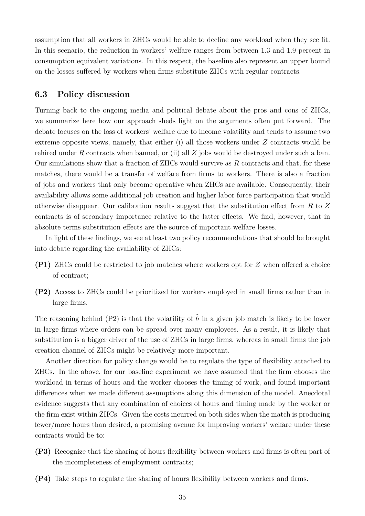assumption that all workers in ZHCs would be able to decline any workload when they see fit. In this scenario, the reduction in workers' welfare ranges from between 1.3 and 1.9 percent in consumption equivalent variations. In this respect, the baseline also represent an upper bound on the losses suffered by workers when firms substitute ZHCs with regular contracts.

#### **6.3 Policy discussion**

Turning back to the ongoing media and political debate about the pros and cons of ZHCs, we summarize here how our approach sheds light on the arguments often put forward. The debate focuses on the loss of workers' welfare due to income volatility and tends to assume two extreme opposite views, namely, that either (i) all those workers under Z contracts would be rehired under R contracts when banned, or (ii) all  $Z$  jobs would be destroyed under such a ban. Our simulations show that a fraction of  $ZHCs$  would survive as  $R$  contracts and that, for these matches, there would be a transfer of welfare from firms to workers. There is also a fraction of jobs and workers that only become operative when ZHCs are available. Consequently, their availability allows some additional job creation and higher labor force participation that would otherwise disappear. Our calibration results suggest that the substitution effect from  $R$  to  $Z$ contracts is of secondary importance relative to the latter effects. We find, however, that in absolute terms substitution effects are the source of important welfare losses.

In light of these findings, we see at least two policy recommendations that should be brought into debate regarding the availability of ZHCs:

- **(P1)** ZHCs could be restricted to job matches where workers opt for Z when offered a choice of contract;
- **(P2)** Access to ZHCs could be prioritized for workers employed in small firms rather than in large firms.

The reasoning behind (P2) is that the volatility of  $\tilde{h}$  in a given job match is likely to be lower in large firms where orders can be spread over many employees. As a result, it is likely that substitution is a bigger driver of the use of ZHCs in large firms, whereas in small firms the job creation channel of ZHCs might be relatively more important.

Another direction for policy change would be to regulate the type of flexibility attached to ZHCs. In the above, for our baseline experiment we have assumed that the firm chooses the workload in terms of hours and the worker chooses the timing of work, and found important differences when we made different assumptions along this dimension of the model. Anecdotal evidence suggests that any combination of choices of hours and timing made by the worker or the firm exist within ZHCs. Given the costs incurred on both sides when the match is producing fewer/more hours than desired, a promising avenue for improving workers' welfare under these contracts would be to:

- **(P3)** Recognize that the sharing of hours flexibility between workers and firms is often part of the incompleteness of employment contracts;
- **(P4)** Take steps to regulate the sharing of hours flexibility between workers and firms.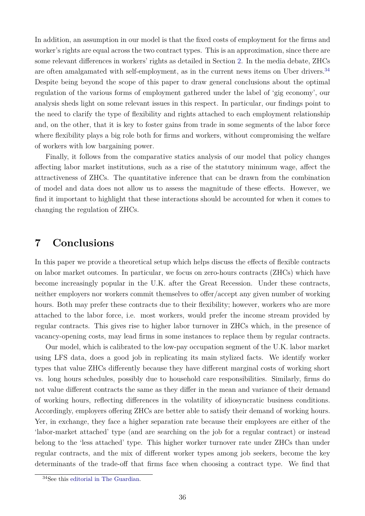In addition, an assumption in our model is that the fixed costs of employment for the firms and worker's rights are equal across the two contract types. This is an approximation, since there are some relevant differences in workers' rights as detailed in Section [2.](#page-5-0) In the media debate, ZHCs are often amalgamated with self-employment, as in the current news items on Uber drivers.<sup>[34](#page-0-0)</sup> Despite being beyond the scope of this paper to draw general conclusions about the optimal regulation of the various forms of employment gathered under the label of 'gig economy', our analysis sheds light on some relevant issues in this respect. In particular, our findings point to the need to clarify the type of flexibility and rights attached to each employment relationship and, on the other, that it is key to foster gains from trade in some segments of the labor force where flexibility plays a big role both for firms and workers, without compromising the welfare of workers with low bargaining power.

Finally, it follows from the comparative statics analysis of our model that policy changes affecting labor market institutions, such as a rise of the statutory minimum wage, affect the attractiveness of ZHCs. The quantitative inference that can be drawn from the combination of model and data does not allow us to assess the magnitude of these effects. However, we find it important to highlight that these interactions should be accounted for when it comes to changing the regulation of ZHCs.

## <span id="page-35-0"></span>**7 Conclusions**

In this paper we provide a theoretical setup which helps discuss the effects of flexible contracts on labor market outcomes. In particular, we focus on zero-hours contracts (ZHCs) which have become increasingly popular in the U.K. after the Great Recession. Under these contracts, neither employers nor workers commit themselves to offer/accept any given number of working hours. Both may prefer these contracts due to their flexibility; however, workers who are more attached to the labor force, i.e. most workers, would prefer the income stream provided by regular contracts. This gives rise to higher labor turnover in ZHCs which, in the presence of vacancy-opening costs, may lead firms in some instances to replace them by regular contracts.

Our model, which is calibrated to the low-pay occupation segment of the U.K. labor market using LFS data, does a good job in replicating its main stylized facts. We identify worker types that value ZHCs differently because they have different marginal costs of working short vs. long hours schedules, possibly due to household care responsibilities. Similarly, firms do not value different contracts the same as they differ in the mean and variance of their demand of working hours, reflecting differences in the volatility of idiosyncratic business conditions. Accordingly, employers offering ZHCs are better able to satisfy their demand of working hours. Yer, in exchange, they face a higher separation rate because their employees are either of the 'labor-market attached' type (and are searching on the job for a regular contract) or instead belong to the 'less attached' type. This higher worker turnover rate under ZHCs than under regular contracts, and the mix of different worker types among job seekers, become the key determinants of the trade-off that firms face when choosing a contract type. We find that

<sup>34</sup>See this [editorial in The Guardian.](https://www.theguardian.com/commentisfree/2021/feb/19/the-guardian-view-on-the-uber-drivers-ruling-a-challenge-to-government)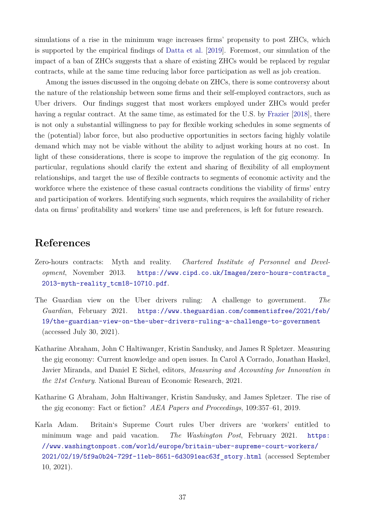simulations of a rise in the minimum wage increases firms' propensity to post ZHCs, which is supported by the empirical findings of [Datta et al.](#page-37-7) [\[2019\]](#page-37-7). Foremost, our simulation of the impact of a ban of ZHCs suggests that a share of existing ZHCs would be replaced by regular contracts, while at the same time reducing labor force participation as well as job creation.

Among the issues discussed in the ongoing debate on ZHCs, there is some controversy about the nature of the relationship between some firms and their self-employed contractors, such as Uber drivers. Our findings suggest that most workers employed under ZHCs would prefer having a regular contract. At the same time, as estimated for the U.S. by [Frazier](#page-37-9) [\[2018\]](#page-37-9), there is not only a substantial willingness to pay for flexible working schedules in some segments of the (potential) labor force, but also productive opportunities in sectors facing highly volatile demand which may not be viable without the ability to adjust working hours at no cost. In light of these considerations, there is scope to improve the regulation of the gig economy. In particular, regulations should clarify the extent and sharing of flexibility of all employment relationships, and target the use of flexible contracts to segments of economic activity and the workforce where the existence of these casual contracts conditions the viability of firms' entry and participation of workers. Identifying such segments, which requires the availability of richer data on firms' profitability and workers' time use and preferences, is left for future research.

## **References**

- <span id="page-36-2"></span>Zero-hours contracts: Myth and reality. *Chartered Institute of Personnel and Development*, November 2013. [https://www.cipd.co.uk/Images/zero-hours-contracts\\_](https://www.cipd.co.uk/Images/zero-hours-contracts_2013-myth-reality_tcm18-10710.pdf) [2013-myth-reality\\_tcm18-10710.pdf](https://www.cipd.co.uk/Images/zero-hours-contracts_2013-myth-reality_tcm18-10710.pdf).
- The Guardian view on the Uber drivers ruling: A challenge to government. *The Guardian*, February 2021. [https://www.theguardian.com/commentisfree/2021/feb/](https://www.theguardian.com/commentisfree/2021/feb/19/the-guardian-view-on-the-uber-drivers-ruling-a-challenge-to-government) [19/the-guardian-view-on-the-uber-drivers-ruling-a-challenge-to-government](https://www.theguardian.com/commentisfree/2021/feb/19/the-guardian-view-on-the-uber-drivers-ruling-a-challenge-to-government) (accessed July 30, 2021).
- <span id="page-36-0"></span>Katharine Abraham, John C Haltiwanger, Kristin Sandusky, and James R Spletzer. Measuring the gig economy: Current knowledge and open issues. In Carol A Corrado, Jonathan Haskel, Javier Miranda, and Daniel E Sichel, editors, *Measuring and Accounting for Innovation in the 21st Century*. National Bureau of Economic Research, 2021.
- <span id="page-36-1"></span>Katharine G Abraham, John Haltiwanger, Kristin Sandusky, and James Spletzer. The rise of the gig economy: Fact or fiction? *AEA Papers and Proceedings*, 109:357–61, 2019.
- Karla Adam. Britain's Supreme Court rules Uber drivers are 'workers' entitled to minimum wage and paid vacation. *The Washington Post*, February 2021. [https:](https://www.washingtonpost.com/world/europe/britain-uber-supreme-court-workers/2021/02/19/5f9a0b24-729f-11eb-8651-6d3091eac63f_story.html) [//www.washingtonpost.com/world/europe/britain-uber-supreme-court-workers/](https://www.washingtonpost.com/world/europe/britain-uber-supreme-court-workers/2021/02/19/5f9a0b24-729f-11eb-8651-6d3091eac63f_story.html) [2021/02/19/5f9a0b24-729f-11eb-8651-6d3091eac63f\\_story.html](https://www.washingtonpost.com/world/europe/britain-uber-supreme-court-workers/2021/02/19/5f9a0b24-729f-11eb-8651-6d3091eac63f_story.html) (accessed September 10, 2021).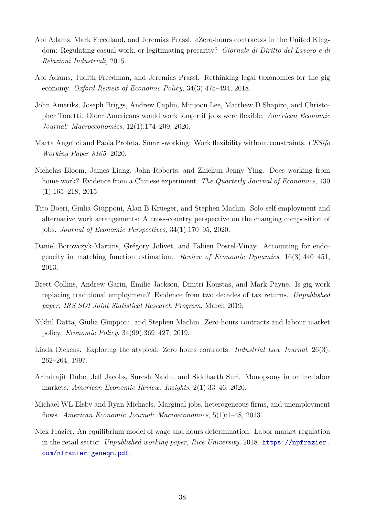- <span id="page-37-0"></span>Abi Adams, Mark Freedland, and Jeremias Prassl. «Zero-hours contracts» in the United Kingdom: Regulating casual work, or legitimating precarity? *Giornale di Diritto del Lavoro e di Relazioni Industriali*, 2015.
- <span id="page-37-1"></span>Abi Adams, Judith Freedman, and Jeremias Prassl. Rethinking legal taxonomies for the gig economy. *Oxford Review of Economic Policy*, 34(3):475–494, 2018.
- <span id="page-37-10"></span>John Ameriks, Joseph Briggs, Andrew Caplin, Minjoon Lee, Matthew D Shapiro, and Christopher Tonetti. Older Americans would work longer if jobs were flexible. *American Economic Journal: Macroeconomics*, 12(1):174–209, 2020.
- <span id="page-37-6"></span>Marta Angelici and Paola Profeta. Smart-working: Work flexibility without constraints. *CESifo Working Paper 8165*, 2020.
- <span id="page-37-5"></span>Nicholas Bloom, James Liang, John Roberts, and Zhichun Jenny Ying. Does working from home work? Evidence from a Chinese experiment. *The Quarterly Journal of Economics*, 130 (1):165–218, 2015.
- <span id="page-37-3"></span>Tito Boeri, Giulia Giupponi, Alan B Krueger, and Stephen Machin. Solo self-employment and alternative work arrangements: A cross-country perspective on the changing composition of jobs. *Journal of Economic Perspectives*, 34(1):170–95, 2020.
- <span id="page-37-11"></span>Daniel Borowczyk-Martins, Grégory Jolivet, and Fabien Postel-Vinay. Accounting for endogeneity in matching function estimation. *Review of Economic Dynamics*, 16(3):440–451, 2013.
- <span id="page-37-4"></span>Brett Collins, Andrew Garin, Emilie Jackson, Dmitri Koustas, and Mark Payne. Is gig work replacing traditional employment? Evidence from two decades of tax returns. *Unpublished paper, IRS SOI Joint Statistical Research Program*, March 2019.
- <span id="page-37-7"></span>Nikhil Datta, Giulia Giupponi, and Stephen Machin. Zero-hours contracts and labour market policy. *Economic Policy*, 34(99):369–427, 2019.
- <span id="page-37-8"></span>Linda Dickens. Exploring the atypical: Zero hours contracts. *Industrial Law Journal*, 26(3): 262–264, 1997.
- <span id="page-37-2"></span>Arindrajit Dube, Jeff Jacobs, Suresh Naidu, and Siddharth Suri. Monopsony in online labor markets. *American Economic Review: Insights*, 2(1):33–46, 2020.
- <span id="page-37-12"></span>Michael WL Elsby and Ryan Michaels. Marginal jobs, heterogeneous firms, and unemployment flows. *American Economic Journal: Macroeconomics*, 5(1):1–48, 2013.
- <span id="page-37-9"></span>Nick Frazier. An equilibrium model of wage and hours determination: Labor market regulation in the retail sector. *Unpublished working paper, Rice University*, 2018. [https://npfrazier.](https://npfrazier.com/nfrazier-geneqm.pdf) [com/nfrazier-geneqm.pdf](https://npfrazier.com/nfrazier-geneqm.pdf).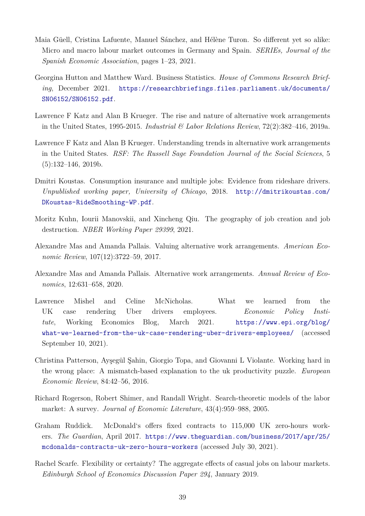- <span id="page-38-9"></span>Maia Güell, Cristina Lafuente, Manuel Sánchez, and Hélène Turon. So different yet so alike: Micro and macro labour market outcomes in Germany and Spain. *SERIEs, Journal of the Spanish Economic Association*, pages 1–23, 2021.
- <span id="page-38-8"></span>Georgina Hutton and Matthew Ward. Business Statistics. *House of Commons Research Briefing*, December 2021. [https://researchbriefings.files.parliament.uk/documents/](https://researchbriefings.files.parliament.uk/documents/SN06152/SN06152.pdf) [SN06152/SN06152.pdf](https://researchbriefings.files.parliament.uk/documents/SN06152/SN06152.pdf).
- <span id="page-38-0"></span>Lawrence F Katz and Alan B Krueger. The rise and nature of alternative work arrangements in the United States, 1995-2015. *Industrial & Labor Relations Review*, 72(2):382–416, 2019a.
- <span id="page-38-2"></span>Lawrence F Katz and Alan B Krueger. Understanding trends in alternative work arrangements in the United States. *RSF: The Russell Sage Foundation Journal of the Social Sciences*, 5  $(5):132-146, 2019b.$
- <span id="page-38-3"></span>Dmitri Koustas. Consumption insurance and multiple jobs: Evidence from rideshare drivers. *Unpublished working paper, University of Chicago*, 2018. [http://dmitrikoustas.com/](http://dmitrikoustas.com/DKoustas-RideSmoothing-WP.pdf) [DKoustas-RideSmoothing-WP.pdf](http://dmitrikoustas.com/DKoustas-RideSmoothing-WP.pdf).
- <span id="page-38-7"></span>Moritz Kuhn, Iourii Manovskii, and Xincheng Qiu. The geography of job creation and job destruction. *NBER Working Paper 29399*, 2021.
- <span id="page-38-1"></span>Alexandre Mas and Amanda Pallais. Valuing alternative work arrangements. *American Economic Review*, 107(12):3722–59, 2017.
- <span id="page-38-5"></span>Alexandre Mas and Amanda Pallais. Alternative work arrangements. *Annual Review of Economics*, 12:631–658, 2020.
- Lawrence Mishel and Celine McNicholas. What we learned from the UK case rendering Uber drivers employees. *Economic Policy Institute*, Working Economics Blog, March 2021. [https://www.epi.org/blog/](https://www.epi.org/blog/what-we-learned-from-the-uk-case-rendering-uber-drivers-employees/) [what-we-learned-from-the-uk-case-rendering-uber-drivers-employees/](https://www.epi.org/blog/what-we-learned-from-the-uk-case-rendering-uber-drivers-employees/) (accessed September 10, 2021).
- <span id="page-38-10"></span>Christina Patterson, Ayşegül Şahin, Giorgio Topa, and Giovanni L Violante. Working hard in the wrong place: A mismatch-based explanation to the uk productivity puzzle. *European Economic Review*, 84:42–56, 2016.
- <span id="page-38-6"></span>Richard Rogerson, Robert Shimer, and Randall Wright. Search-theoretic models of the labor market: A survey. *Journal of Economic Literature*, 43(4):959–988, 2005.
- Graham Ruddick. McDonald's offers fixed contracts to 115,000 UK zero-hours workers. *The Guardian*, April 2017. [https://www.theguardian.com/business/2017/apr/25/](https://www.theguardian.com/business/2017/apr/25/mcdonalds-contracts-uk-zero-hours-workers) [mcdonalds-contracts-uk-zero-hours-workers](https://www.theguardian.com/business/2017/apr/25/mcdonalds-contracts-uk-zero-hours-workers) (accessed July 30, 2021).
- <span id="page-38-4"></span>Rachel Scarfe. Flexibility or certainty? The aggregate effects of casual jobs on labour markets. *Edinburgh School of Economics Discussion Paper 294*, January 2019.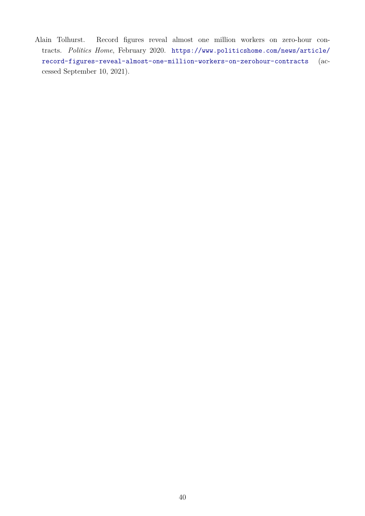Alain Tolhurst. Record figures reveal almost one million workers on zero-hour contracts. *Politics Home*, February 2020. [https://www.politicshome.com/news/article/](https://www.politicshome.com/news/article/record-figures-reveal-almost-one-million-workers-on-zerohour-contracts) [record-figures-reveal-almost-one-million-workers-on-zerohour-contracts](https://www.politicshome.com/news/article/record-figures-reveal-almost-one-million-workers-on-zerohour-contracts) (accessed September 10, 2021).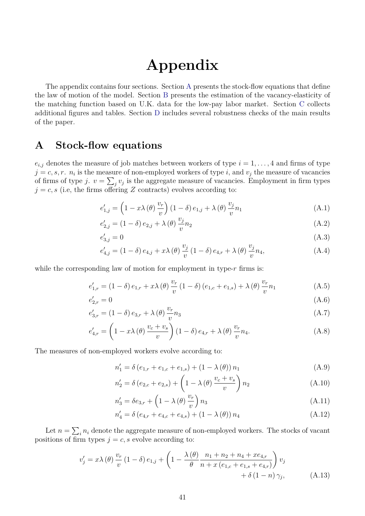# **Appendix**

The appendix contains four sections. Section [A](#page-40-0) presents the stock-flow equations that define the law of motion of the model. Section [B](#page-41-0) presents the estimation of the vacancy-elasticity of the matching function based on U.K. data for the low-pay labor market. Section [C](#page-42-2) collects additional figures and tables. Section [D](#page-43-0) includes several robustness checks of the main results of the paper.

## <span id="page-40-0"></span>**A Stock-flow equations**

 $e_{i,j}$  denotes the measure of job matches between workers of type  $i = 1, \ldots, 4$  and firms of type  $j = c, s, r$ .  $n_i$  is the measure of non-employed workers of type i, and  $v_j$  the measure of vacancies of firms of type j.  $v = \sum_j v_j$  is the aggregate measure of vacancies. Employment in firm types  $j = c, s$  (i.e, the firms offering Z contracts) evolves according to:

$$
e'_{1,j} = \left(1 - x\lambda(\theta)\frac{v_r}{v}\right)\left(1 - \delta\right)e_{1,j} + \lambda(\theta)\frac{v_j}{v}n_1\tag{A.1}
$$

$$
e'_{2,j} = (1 - \delta) e_{2,j} + \lambda(\theta) \frac{v_j}{v} n_2
$$
\n(A.2)

$$
e_{3,j}' = 0\tag{A.3}
$$

$$
e'_{4,j} = (1 - \delta) e_{4,j} + x\lambda(\theta) \frac{v_j}{v} (1 - \delta) e_{4,r} + \lambda(\theta) \frac{v_j}{v} n_4,
$$
 (A.4)

while the corresponding law of motion for employment in type- $r$  firms is:

$$
e'_{1,r} = (1 - \delta) e_{1,r} + x\lambda(\theta) \frac{v_r}{v} (1 - \delta) (e_{1,c} + e_{1,s}) + \lambda(\theta) \frac{v_r}{v} n_1
$$
\n(A.5)\n  
\n
$$
e'_{1,r} = 0
$$
\n(A.6)

$$
e'_{2,r} = 0 \tag{A.6}
$$

$$
e_{3,r}' = (1 - \delta) e_{3,r} + \lambda (\theta) \frac{v_r}{v} n_3
$$
 (A.7)

$$
e'_{4,r} = \left(1 - x\lambda(\theta)\frac{v_c + v_s}{v}\right)(1 - \delta) e_{4,r} + \lambda(\theta)\frac{v_r}{v}n_4.
$$
 (A.8)

The measures of non-employed workers evolve according to:

<span id="page-40-1"></span>
$$
n'_{1} = \delta (e_{1,r} + e_{1,c} + e_{1,s}) + (1 - \lambda(\theta)) n_{1}
$$
 (A.9)

$$
n_2' = \delta (e_{2,c} + e_{2,s}) + \left(1 - \lambda (\theta) \frac{v_c + v_s}{v}\right) n_2
$$
 (A.10)

$$
n_3' = \delta e_{3,r} + \left(1 - \lambda \left(\theta\right) \frac{v_r}{v}\right) n_3 \tag{A.11}
$$

<span id="page-40-2"></span>
$$
n_4' = \delta (e_{4,r} + e_{4,c} + e_{4,s}) + (1 - \lambda(\theta)) n_4
$$
 (A.12)

Let  $n = \sum_i n_i$  denote the aggregate measure of non-employed workers. The stocks of vacant positions of firm types  $j = c, s$  evolve according to:

$$
v'_{j} = x\lambda(\theta) \frac{v_{r}}{v} (1 - \delta) e_{1,j} + \left(1 - \frac{\lambda(\theta)}{\theta} \frac{n_{1} + n_{2} + n_{4} + x e_{4,r}}{n + x (e_{1,c} + e_{1,s} + e_{4,r})}\right) v_{j} + \delta (1 - n) \gamma_{j}, \qquad (A.13)
$$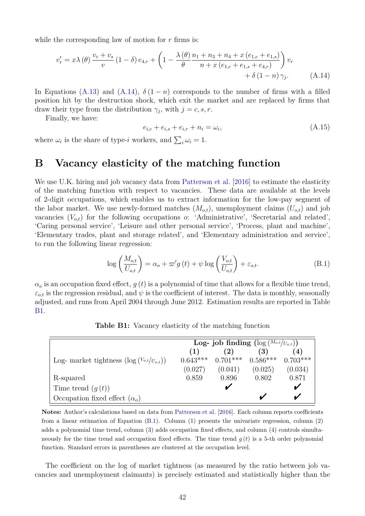while the corresponding law of motion for  $r$  firms is:

$$
v'_{r} = x\lambda(\theta) \frac{v_c + v_s}{v} (1 - \delta) e_{4,r} + \left(1 - \frac{\lambda(\theta)}{\theta} \frac{n_1 + n_3 + n_4 + x (e_{1,c} + e_{1,s})}{n + x (e_{1,c} + e_{1,s} + e_{4,r})}\right) v_r + \delta (1 - n) \gamma_j.
$$
 (A.14)

In Equations [\(A.13\)](#page-40-2) and [\(A.14\)](#page-41-1),  $\delta(1-n)$  corresponds to the number of firms with a filled position hit by the destruction shock, which exit the market and are replaced by firms that draw their type from the distribution  $\gamma_j$ , with  $j = c, s, r$ .

Finally, we have:

<span id="page-41-1"></span>
$$
e_{i,c} + e_{i,s} + e_{i,r} + n_i = \omega_i, \tag{A.15}
$$

<span id="page-41-0"></span>where  $\omega_i$  is the share of type-*i* workers, and  $\sum_i \omega_i = 1$ .

## **B Vacancy elasticity of the matching function**

We use U.K. hiring and job vacancy data from [Patterson et al.](#page-38-10) [\[2016\]](#page-38-10) to estimate the elasticity of the matching function with respect to vacancies. These data are available at the levels of 2-digit occupations, which enables us to extract information for the low-pay segment of the labor market. We use newly-formed matches  $(M_{o,t})$ , unemployment claims  $(U_{o,t})$  and job vacancies  $(V_{o,t})$  for the following occupations o: 'Administrative', 'Secretarial and related', 'Caring personal service', 'Leisure and other personal service', 'Process, plant and machine', 'Elementary trades, plant and storage related', and 'Elementary administration and service', to run the following linear regression:

<span id="page-41-3"></span>
$$
\log\left(\frac{M_{o,t}}{U_{o,t}}\right) = \alpha_o + \varpi' g\left(t\right) + \psi \log\left(\frac{V_{o,t}}{U_{o,t}}\right) + \varepsilon_{o,t}.\tag{B.1}
$$

 $\alpha_o$  is an occupation fixed effect,  $g(t)$  is a polynomial of time that allows for a flexible time trend,  $\varepsilon_{o,t}$  is the regression residual, and  $\psi$  is the coefficient of interest. The data is monthly, seasonally adjusted, and runs from April 2004 through June 2012. Estimation results are reported in Table [B1.](#page-41-2)

**Table B1:** Vacancy elasticity of the matching function

<span id="page-41-2"></span>

|                                                  | Log- job finding $(\log (M_{o,t}/U_{o,t}))$ |               |                                  |                   |  |  |  |
|--------------------------------------------------|---------------------------------------------|---------------|----------------------------------|-------------------|--|--|--|
|                                                  | (1)                                         | $\mathbf{2)}$ | $\mathbf{3)}$                    | $\left( 4\right)$ |  |  |  |
| Log- market tightness $(\log (V_{o,t}/U_{o,t}))$ |                                             |               | $0.643***$ $0.701***$ $0.586***$ | $0.703***$        |  |  |  |
|                                                  | (0.027)                                     | (0.041)       | (0.025)                          | (0.034)           |  |  |  |
| R-squared                                        | 0.859                                       | 0.896         | 0.802                            | 0.871             |  |  |  |
| Time trend $(q(t))$                              |                                             |               |                                  |                   |  |  |  |
| Occupation fixed effect $(\alpha_o)$             |                                             |               |                                  |                   |  |  |  |

**Notes:** Author's calculations based on data from [Patterson et al.](#page-38-10) [\[2016\]](#page-38-10). Each column reports coefficients from a linear estimation of Equation [\(B.1\)](#page-41-3). Column (1) presents the univariate regression, column (2) adds a polynomial time trend, column (3) adds occupation fixed effects, and column (4) controls simultaneously for the time trend and occupation fixed effects. The time trend  $g(t)$  is a 5-th order polynomial function. Standard errors in parentheses are clustered at the occupation level.

The coefficient on the log of market tightness (as measured by the ratio between job vacancies and unemployment claimants) is precisely estimated and statistically higher than the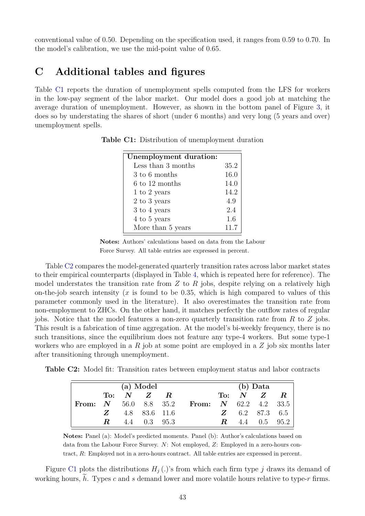conventional value of 0.50. Depending on the specification used, it ranges from 0.59 to 0.70. In the model's calibration, we use the mid-point value of 0.65.

## <span id="page-42-2"></span>**C Additional tables and figures**

<span id="page-42-0"></span>Table [C1](#page-42-0) reports the duration of unemployment spells computed from the LFS for workers in the low-pay segment of the labor market. Our model does a good job at matching the average duration of unemployment. However, as shown in the bottom panel of Figure [3,](#page-22-0) it does so by understating the shares of short (under 6 months) and very long (5 years and over) unemployment spells.

| Unemployment duration: |      |
|------------------------|------|
| Less than 3 months     | 35.2 |
| 3 to 6 months          | 16.0 |
| 6 to 12 months         | 14.0 |
| 1 to 2 years           | 14.2 |
| 2 to 3 years           | 4.9  |
| 3 to 4 years           | 2.4  |
| 4 to 5 years           | 1.6  |
| More than 5 years      | 11.7 |

**Table C1:** Distribution of unemployment duration

Table [C2](#page-42-1) compares the model-generated quarterly transition rates across labor market states to their empirical counterparts (displayed in Table [4,](#page-12-2) which is repeated here for reference). The model understates the transition rate from  $Z$  to  $R$  jobs, despite relying on a relatively high on-the-job search intensity  $(x$  is found to be 0.35, which is high compared to values of this parameter commonly used in the literature). It also overestimates the transition rate from non-employment to ZHCs. On the other hand, it matches perfectly the outflow rates of regular jobs. Notice that the model features a non-zero quarterly transition rate from  $R$  to  $Z$  jobs. This result is a fabrication of time aggregation. At the model's bi-weekly frequency, there is no such transitions, since the equilibrium does not feature any type-4 workers. But some type-1 workers who are employed in a  $R$  job at some point are employed in a  $Z$  job six months later after transitioning through unemployment.

<span id="page-42-1"></span>**Table C2:** Model fit: Transition rates between employment status and labor contracts

|                                |                            | (b) Data |                                |  |                               |  |                 |  |
|--------------------------------|----------------------------|----------|--------------------------------|--|-------------------------------|--|-----------------|--|
|                                | $To: N \t Z \t R$          |          |                                |  |                               |  | To: $N$ $Z$ $R$ |  |
| <b>From:</b> $N$ 56.0 8.8 35.2 |                            |          | <b>From:</b> $N$ 62.2 4.2 33.5 |  |                               |  |                 |  |
|                                | $\mathbf{Z}$ 4.8 83.6 11.6 |          |                                |  | $\boldsymbol{Z}$ 6.2 87.3 6.5 |  |                 |  |
|                                | <b>R</b> 44 0.3 95.3       |          |                                |  | <b>R</b> 4.4 0.5 95.2         |  |                 |  |

**Notes:** Panel (a): Model's predicted moments. Panel (b): Author's calculations based on data from the Labour Force Survey. N: Not employed, Z: Employed in a zero-hours contract, R: Employed not in a zero-hours contract. All table entries are expressed in percent.

Figure [C1](#page-43-1) plots the distributions  $H_i(.)$ 's from which each firm type j draws its demand of working hours, h. Types c and s demand lower and more volatile hours relative to type-r firms.

**Notes:** Authors' calculations based on data from the Labour Force Survey. All table entries are expressed in percent.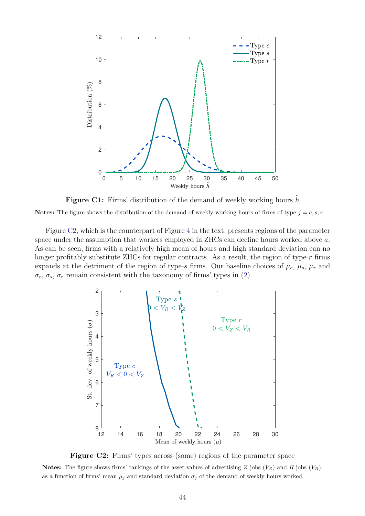<span id="page-43-1"></span>

**Figure C1:** Firms' distribution of the demand of weekly working hours  $\hat{h}$ 

**Notes:** The figure shows the distribution of the demand of weekly working hours of firms of type  $j = c, s, r$ .

Figure [C2,](#page-43-2) which is the counterpart of Figure [4](#page-25-1) in the text, presents regions of the parameter space under the assumption that workers employed in ZHCs can decline hours worked above a. As can be seen, firms with a relatively high mean of hours and high standard deviation can no longer profitably substitute ZHCs for regular contracts. As a result, the region of type- $r$  firms expands at the detriment of the region of type-s firms. Our baseline choices of  $\mu_c$ ,  $\mu_s$ ,  $\mu_r$  and  $\sigma_c$ ,  $\sigma_s$ ,  $\sigma_r$  remain consistent with the taxonomy of firms' types in [\(2\)](#page-13-0).

<span id="page-43-2"></span>

**Figure C2:** Firms' types across (some) regions of the parameter space

<span id="page-43-0"></span>**Notes:** The figure shows firms' rankings of the asset values of advertising Z jobs  $(V_Z)$  and R jobs  $(V_R)$ , as a function of firms' mean  $\mu_j$  and standard deviation  $\sigma_j$  of the demand of weekly hours worked.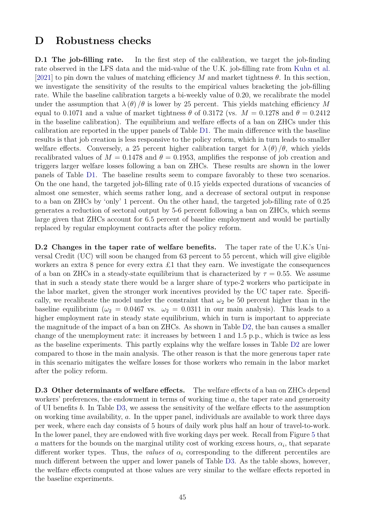## **D Robustness checks**

**D.1 The job-filling rate.** In the first step of the calibration, we target the job-finding rate observed in the LFS data and the mid-value of the U.K. job-filling rate from [Kuhn et al.](#page-38-7) [\[2021\]](#page-38-7) to pin down the values of matching efficiency M and market tightness  $\theta$ . In this section, we investigate the sensitivity of the results to the empirical values bracketing the job-filling rate. While the baseline calibration targets a bi-weekly value of 0.20, we recalibrate the model under the assumption that  $\lambda(\theta)$  / $\theta$  is lower by 25 percent. This yields matching efficiency M equal to 0.1071 and a value of market tightness  $\theta$  of 0.3172 (vs.  $M = 0.1278$  and  $\theta = 0.2412$ in the baseline calibration). The equilibrium and welfare effects of a ban on ZHCs under this calibration are reported in the upper panels of Table [D1.](#page-45-0) The main difference with the baseline results is that job creation is less responsive to the policy reform, which in turn leads to smaller welfare effects. Conversely, a 25 percent higher calibration target for  $\lambda(\theta)/\theta$ , which yields recalibrated values of  $M = 0.1478$  and  $\theta = 0.1953$ , amplifies the response of job creation and triggers larger welfare losses following a ban on ZHCs. These results are shown in the lower panels of Table [D1.](#page-45-0) The baseline results seem to compare favorably to these two scenarios. On the one hand, the targeted job-filling rate of 0.15 yields expected durations of vacancies of almost one semester, which seems rather long, and a decrease of sectoral output in response to a ban on ZHCs by 'only' 1 percent. On the other hand, the targeted job-filling rate of 0.25 generates a reduction of sectoral output by 5-6 percent following a ban on ZHCs, which seems large given that ZHCs account for 6.5 percent of baseline employment and would be partially replaced by regular employment contracts after the policy reform.

**D.2 Changes in the taper rate of welfare benefits.** The taper rate of the U.K.'s Universal Credit (UC) will soon be changed from 63 percent to 55 percent, which will give eligible workers an extra 8 pence for every extra £1 that they earn. We investigate the consequences of a ban on ZHCs in a steady-state equilibrium that is characterized by  $\tau = 0.55$ . We assume that in such a steady state there would be a larger share of type-2 workers who participate in the labor market, given the stronger work incentives provided by the UC taper rate. Specifically, we recalibrate the model under the constraint that  $\omega_2$  be 50 percent higher than in the baseline equilibrium ( $\omega_2 = 0.0467$  vs.  $\omega_2 = 0.0311$  in our main analysis). This leads to a higher employment rate in steady state equilibrium, which in turn is important to appreciate the magnitude of the impact of a ban on ZHCs. As shown in Table [D2,](#page-46-0) the ban causes a smaller change of the unemployment rate: it increases by between 1 and 1.5 p.p., which is twice as less as the baseline experiments. This partly explains why the welfare losses in Table [D2](#page-46-0) are lower compared to those in the main analysis. The other reason is that the more generous taper rate in this scenario mitigates the welfare losses for those workers who remain in the labor market after the policy reform.

**D.3 Other determinants of welfare effects.** The welfare effects of a ban on ZHCs depend workers' preferences, the endowment in terms of working time  $a$ , the taper rate and generosity of UI benefits b. In Table [D3,](#page-47-0) we assess the sensitivity of the welfare effects to the assumption on working time availability, a. In the upper panel, individuals are available to work three days per week, where each day consists of 5 hours of daily work plus half an hour of travel-to-work. In the lower panel, they are endowed with five working days per week. Recall from Figure [5](#page-26-0) that a matters for the bounds on the marginal utility cost of working excess hours,  $\alpha_i$ , that separate different worker types. Thus, the *values* of  $\alpha_i$  corresponding to the different percentiles are much different between the upper and lower panels of Table [D3.](#page-47-0) As the table shows, however, the welfare effects computed at those values are very similar to the welfare effects reported in the baseline experiments.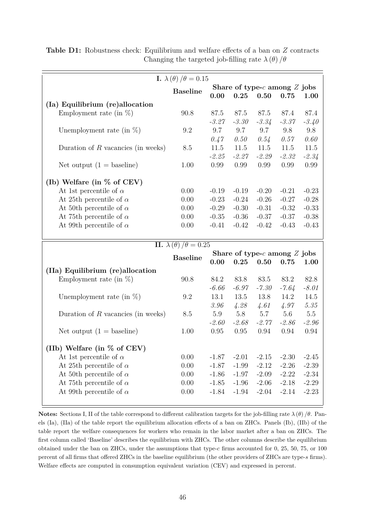| I. $\lambda(\theta)/\theta = 0.15$                               |                                     |                    |                                           |                    |                    |                    |  |  |  |
|------------------------------------------------------------------|-------------------------------------|--------------------|-------------------------------------------|--------------------|--------------------|--------------------|--|--|--|
|                                                                  | <b>Baseline</b>                     |                    | Share of type- $c$ among $Z$ jobs         |                    |                    |                    |  |  |  |
|                                                                  |                                     | 0.00               | 0.25                                      | 0.50               | 0.75               | 1.00               |  |  |  |
| (Ia) Equilibrium (re)allocation                                  |                                     |                    |                                           |                    |                    |                    |  |  |  |
| Employment rate (in $\%$ )                                       | 90.8                                | 87.5               | 87.5                                      | 87.5               | 87.4               | 87.4               |  |  |  |
|                                                                  |                                     | $-3.27$            | $-3.30$                                   | $-3.34$            | $-3.37$            | $-3.40$            |  |  |  |
| Unemployment rate (in $\%$ )                                     | 9.2                                 | 9.7                | 9.7                                       | 9.7                | 9.8                | 9.8                |  |  |  |
|                                                                  |                                     | 0.47               | 0.50                                      | 0.54               | 0.57               | 0.60               |  |  |  |
| Duration of $R$ vacancies (in weeks)                             | 8.5                                 | 11.5               | 11.5                                      | 11.5               | 11.5               | 11.5               |  |  |  |
|                                                                  |                                     | $-2.25$            | $-2.27$                                   | $-2.29$            | $-2.32$            | $-2.34$            |  |  |  |
| Net output $(1 = \text{baseline})$                               | 1.00                                | 0.99               | 0.99                                      | 0.99               | 0.99               | 0.99               |  |  |  |
| (Ib) Welfare (in $\%$ of CEV)                                    |                                     |                    |                                           |                    |                    |                    |  |  |  |
| At 1st percentile of $\alpha$                                    | 0.00                                | $-0.19$            | $-0.19$                                   | $-0.20$            | $-0.21$            | $-0.23$            |  |  |  |
| At 25th percentile of $\alpha$                                   | 0.00                                | $-0.23$            | $-0.24$                                   | $-0.26$            | $-0.27$            | $-0.28$            |  |  |  |
| At 50th percentile of $\alpha$                                   | 0.00                                | $-0.29$            | $-0.30$                                   | $-0.31$            | $-0.32$            | $-0.33$            |  |  |  |
| At 75th percentile of $\alpha$                                   | 0.00                                | $-0.35$            | $-0.36$                                   | $-0.37$            | $-0.37$            | $-0.38$            |  |  |  |
| At 99th percentile of $\alpha$                                   | 0.00                                | $-0.41$            | $-0.42$                                   | $-0.42$            | $-0.43$            | $-0.43$            |  |  |  |
|                                                                  |                                     |                    |                                           |                    |                    |                    |  |  |  |
|                                                                  |                                     |                    |                                           |                    |                    |                    |  |  |  |
|                                                                  | II. $\lambda(\theta)/\theta = 0.25$ |                    |                                           |                    |                    |                    |  |  |  |
|                                                                  | <b>Baseline</b>                     | 0.00               | Share of type- $c$ among $Z$ jobs<br>0.25 | 0.50               | 0.75               | 1.00               |  |  |  |
| (IIa) Equilibrium (re)allocation                                 |                                     |                    |                                           |                    |                    |                    |  |  |  |
| Employment rate (in $\%$ )                                       | 90.8                                | 84.2               | 83.8                                      | 83.5               | 83.2               | 82.8               |  |  |  |
|                                                                  |                                     | $-6.66$            | $-6.97$                                   | $-7.30$            | $-7.64$            | $-8.01$            |  |  |  |
| Unemployment rate (in $\%$ )                                     | 9.2                                 | 13.1               | 13.5                                      | 13.8               | 14.2               | 14.5               |  |  |  |
|                                                                  |                                     | 3.96               | 4.28                                      | 4.61               | 4.97               | 5.35               |  |  |  |
| Duration of $R$ vacancies (in weeks)                             | 8.5                                 | 5.9                | 5.8                                       | 5.7                | 5.6                | 5.5                |  |  |  |
|                                                                  |                                     | $-2.60$            | $-2.68$                                   | $-2.77$            | $-2.86$            | $-2.96$            |  |  |  |
| Net output $(1 = \text{baseline})$                               | 1.00                                | 0.95               | 0.95                                      | 0.94               | 0.94               | 0.94               |  |  |  |
|                                                                  |                                     |                    |                                           |                    |                    |                    |  |  |  |
| (IIb) Welfare (in % of CEV)                                      |                                     | $-1.87$            |                                           |                    |                    | $-2.45$            |  |  |  |
| At 1st percentile of $\alpha$                                    | 0.00                                |                    | $-2.01$                                   | $-2.15$            | $-2.30$            |                    |  |  |  |
| At 25th percentile of $\alpha$                                   | 0.00                                | $-1.87$            | $-1.99$                                   | $-2.12$            | $-2.26$            | $-2.39$            |  |  |  |
| At 50th percentile of $\alpha$                                   | 0.00                                | $-1.86$            | $-1.97$                                   | $-2.09$            | $-2.22$            | $-2.34$            |  |  |  |
| At 75th percentile of $\alpha$<br>At 99th percentile of $\alpha$ | 0.00<br>0.00                        | $-1.85$<br>$-1.84$ | $-1.96$<br>$-1.94$                        | $-2.06$<br>$-2.04$ | $-2.18$<br>$-2.14$ | $-2.29$<br>$-2.23$ |  |  |  |

<span id="page-45-0"></span>**Table D1:** Robustness check: Equilibrium and welfare effects of a ban on Z contracts Changing the targeted job-filling rate  $\lambda(\theta)/\theta$ 

**Notes:** Sections I, II of the table correspond to different calibration targets for the job-filling rate  $\lambda(\theta)/\theta$ . Panels (Ia), (IIa) of the table report the equilibrium allocation effects of a ban on ZHCs. Panels (Ib), (IIb) of the table report the welfare consequences for workers who remain in the labor market after a ban on ZHCs. The first column called 'Baseline' describes the equilibrium with ZHCs. The other columns describe the equilibrium obtained under the ban on ZHCs, under the assumptions that type-c firms accounted for 0, 25, 50, 75, or 100 percent of all firms that offered ZHCs in the baseline equilibrium (the other providers of ZHCs are type-s firms). Welfare effects are computed in consumption equivalent variation (CEV) and expressed in percent.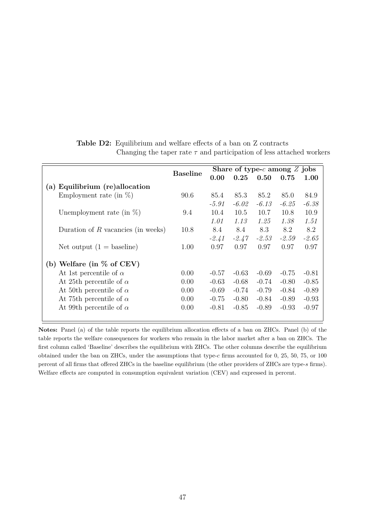<span id="page-46-0"></span>

|                                      | <b>Baseline</b> |         | Share of type- $c$ among $Z$ jobs |         |         |         |
|--------------------------------------|-----------------|---------|-----------------------------------|---------|---------|---------|
|                                      |                 | 0.00    | 0.25                              | 0.50    | 0.75    | 1.00    |
| Equilibrium (re)allocation<br>(a)    |                 |         |                                   |         |         |         |
| Employment rate (in $\%$ )           | 90.6            | 85.4    | 85.3                              | 85.2    | 85.0    | 84.9    |
|                                      |                 | $-5.91$ | $-6.02$                           | $-6.13$ | $-6.25$ | $-6.38$ |
| Unemployment rate (in $\%$ )         | 9.4             | 10.4    | 10.5                              | 10.7    | 10.8    | 10.9    |
|                                      |                 | 1.01    | 1.13                              | 1.25    | 1.38    | 1.51    |
| Duration of $R$ vacancies (in weeks) | 10.8            | 8.4     | 8.4                               | 8.3     | 8.2     | 8.2     |
|                                      |                 | $-2.41$ | $-2.47$                           | $-2.53$ | $-2.59$ | $-2.65$ |
| Net output $(1 = \text{baseline})$   | 1.00            | 0.97    | 0.97                              | 0.97    | 0.97    | 0.97    |
| (b) Welfare (in $\%$ of CEV)         |                 |         |                                   |         |         |         |
| At 1st percentile of $\alpha$        | 0.00            | $-0.57$ | $-0.63$                           | $-0.69$ | $-0.75$ | $-0.81$ |
| At 25th percentile of $\alpha$       | 0.00            | $-0.63$ | $-0.68$                           | $-0.74$ | $-0.80$ | $-0.85$ |
| At 50th percentile of $\alpha$       | 0.00            | $-0.69$ | $-0.74$                           | $-0.79$ | $-0.84$ | $-0.89$ |
| At 75th percentile of $\alpha$       | 0.00            | $-0.75$ | $-0.80$                           | $-0.84$ | $-0.89$ | $-0.93$ |
| At 99th percentile of $\alpha$       | 0.00            | $-0.81$ | $-0.85$                           | $-0.89$ | $-0.93$ | $-0.97$ |
|                                      |                 |         |                                   |         |         |         |

**Table D2:** Equilibrium and welfare effects of a ban on Z contracts Changing the taper rate  $\tau$  and participation of less attached workers

**Notes:** Panel (a) of the table reports the equilibrium allocation effects of a ban on ZHCs. Panel (b) of the table reports the welfare consequences for workers who remain in the labor market after a ban on ZHCs. The first column called 'Baseline' describes the equilibrium with ZHCs. The other columns describe the equilibrium obtained under the ban on ZHCs, under the assumptions that type-c firms accounted for 0, 25, 50, 75, or 100 percent of all firms that offered ZHCs in the baseline equilibrium (the other providers of ZHCs are type-s firms). Welfare effects are computed in consumption equivalent variation (CEV) and expressed in percent.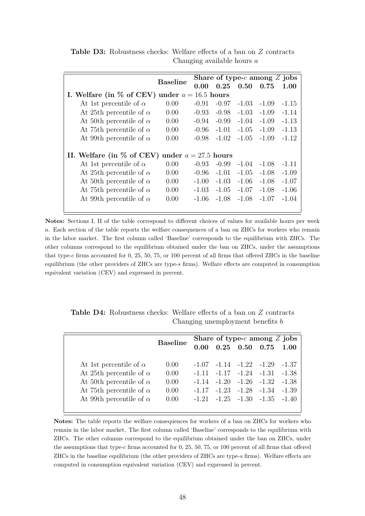|                                                            | <b>Baseline</b>        | Share of type-c among $Z$ jobs |         |         |         |         |  |  |  |
|------------------------------------------------------------|------------------------|--------------------------------|---------|---------|---------|---------|--|--|--|
|                                                            |                        | 0.00                           | 0.25    | 0.50    | 0.75    | 1.00    |  |  |  |
| I. Welfare (in $\%$ of CEV)<br>under $a =$<br>$16.5$ hours |                        |                                |         |         |         |         |  |  |  |
| At 1st percentile of $\alpha$                              | 0.00                   | $-0.91$                        | $-0.97$ | $-1.03$ | $-1.09$ | $-1.15$ |  |  |  |
| At 25th percentile of $\alpha$                             | 0.00                   | $-0.93$                        | $-0.98$ | $-1.03$ | $-1.09$ | $-1.14$ |  |  |  |
| At 50th percentile of $\alpha$                             | 0.00                   | $-0.94$                        | $-0.99$ | $-1.04$ | $-1.09$ | $-1.13$ |  |  |  |
| At 75th percentile of $\alpha$                             | 0.00                   | $-0.96$                        | $-1.01$ | $-1.05$ | $-1.09$ | $-1.13$ |  |  |  |
| At 99th percentile of $\alpha$                             | 0.00                   | $-0.98$                        | $-1.02$ | $-1.05$ | $-1.09$ | $-1.12$ |  |  |  |
|                                                            |                        |                                |         |         |         |         |  |  |  |
| II. Welfare (in $\%$ of CEV)                               | under $a = 27.5$ hours |                                |         |         |         |         |  |  |  |
| At 1st percentile of $\alpha$                              | 0.00                   | $-0.93$                        | $-0.99$ | $-1.04$ | $-1.08$ | $-1.11$ |  |  |  |
| At 25th percentile of $\alpha$                             | 0.00                   | $-0.96$                        | $-1.01$ | $-1.05$ | $-1.08$ | $-1.09$ |  |  |  |
| At 50th percentile of $\alpha$                             | 0.00                   | $-1.00$                        | $-1.03$ | $-1.06$ | $-1.08$ | $-1.07$ |  |  |  |
| At 75th percentile of $\alpha$                             | 0.00                   | $-1.03$                        | $-1.05$ | $-1.07$ | $-1.08$ | $-1.06$ |  |  |  |
| At 99th percentile of $\alpha$                             | 0.00                   | $-1.06$                        | $-1.08$ | $-1.08$ | $-1.07$ | $-1.04$ |  |  |  |
|                                                            |                        |                                |         |         |         |         |  |  |  |

<span id="page-47-0"></span>**Table D3:** Robustness checks: Welfare effects of a ban on Z contracts Changing available hours a

**Notes:** Sections I, II of the table correspond to different choices of values for available hours per week a. Each section of the table reports the welfare consequences of a ban on ZHCs for workers who remain in the labor market. The first column called 'Baseline' corresponds to the equilibrium with ZHCs. The other columns correspond to the equilibrium obtained under the ban on ZHCs, under the assumptions that type- $c$  firms accounted for 0, 25, 50, 75, or 100 percent of all firms that offered ZHCs in the baseline equilibrium (the other providers of ZHCs are type-s firms). Welfare effects are computed in consumption equivalent variation (CEV) and expressed in percent.

<span id="page-47-1"></span>

|  | <b>Table D4:</b> Robustness checks: Welfare effects of a ban on Z contracts |
|--|-----------------------------------------------------------------------------|
|  | Changing unemployment benefits $b$                                          |

|                                | <b>Baseline</b> | Share of type- $c$ among $Z$ jobs |      |                                 |                                         |         |  |  |  |
|--------------------------------|-----------------|-----------------------------------|------|---------------------------------|-----------------------------------------|---------|--|--|--|
|                                |                 | 0.00                              | 0.25 | $0.50\quad 0.75$                |                                         | 1.00    |  |  |  |
|                                |                 |                                   |      |                                 |                                         |         |  |  |  |
| At 1st percentile of $\alpha$  | 0.00            | $-1.07$                           |      | $-1.14$ $-1.22$ $-1.29$         |                                         | -1.37   |  |  |  |
| At 25th percentile of $\alpha$ | 0.00            |                                   |      | $-1.11$ $-1.17$ $-1.24$ $-1.31$ |                                         | $-1.38$ |  |  |  |
| At 50th percentile of $\alpha$ | 0.00            |                                   |      | $-1.14$ $-1.20$ $-1.26$ $-1.32$ |                                         | -1.38   |  |  |  |
| At 75th percentile of $\alpha$ | 0.00            | $-1.17$                           |      | $-1.23$ $-1.28$ $-1.34$         |                                         | $-1.39$ |  |  |  |
| At 99th percentile of $\alpha$ | 0.00            |                                   |      |                                 | $-1.21$ $-1.25$ $-1.30$ $-1.35$ $-1.40$ |         |  |  |  |
|                                |                 |                                   |      |                                 |                                         |         |  |  |  |

**Notes:** The table reports the welfare consequences for workers of a ban on ZHCs for workers who remain in the labor market. The first column called 'Baseline' corresponds to the equilibrium with ZHCs. The other columns correspond to the equilibrium obtained under the ban on ZHCs, under the assumptions that type-c firms accounted for 0, 25, 50, 75, or 100 percent of all firms that offered ZHCs in the baseline equilibrium (the other providers of ZHCs are type-s firms). Welfare effects are computed in consumption equivalent variation (CEV) and expressed in percent.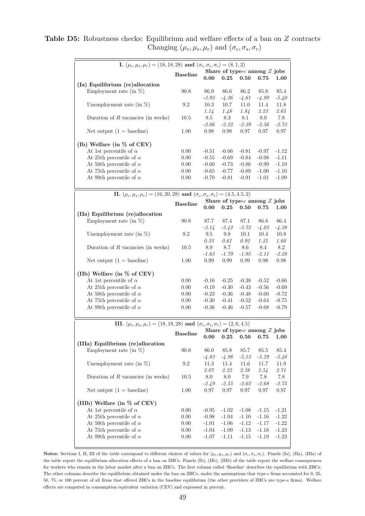| <b>I.</b> $(\mu_c, \mu_s, \mu_r) = (18, 18, 28)$ and $(\sigma_c, \sigma_s, \sigma_r) = (8, 1, 2)$      |                 |             |                                   |                 |                 |                     |  |  |  |
|--------------------------------------------------------------------------------------------------------|-----------------|-------------|-----------------------------------|-----------------|-----------------|---------------------|--|--|--|
|                                                                                                        |                 |             | Share of type- $c$ among $Z$ jobs |                 |                 |                     |  |  |  |
|                                                                                                        | <b>Baseline</b> | $0.00\,$    | 0.25                              | 0.50            | 0.75            | 1.00                |  |  |  |
| (Ia) Equilibrium (re)allocation                                                                        |                 |             |                                   |                 |                 |                     |  |  |  |
| Employment rate (in $\%$ )                                                                             | 90.8            | 86.9        | 86.6                              | 86.2            | 85.8            | 85.4                |  |  |  |
|                                                                                                        |                 | $-3.93$     | $-4.26$                           | $-4.61$         | $-4.99$         | $-5.40$             |  |  |  |
| Unemployment rate (in $%$ )                                                                            | 9.2             | 10.3        | 10.7                              | 11.0            | 11.4            | 11.8                |  |  |  |
|                                                                                                        |                 | 1.14        | 1.48                              | 1.84            | 2.23            | 2.65                |  |  |  |
| Duration of $R$ vacancies (in weeks)                                                                   | 10.5            | 8.5         | 8.3                               | 8.1             | 8.0             | 7.8                 |  |  |  |
|                                                                                                        |                 | $-2.06$     | $-2.22$                           | $-2.39$         | $-2.56$         | $-2.73$             |  |  |  |
| Net output $(1 = \text{baseline})$                                                                     | 1.00            | 0.98        | 0.98                              | 0.97            | 0.97            | 0.97                |  |  |  |
| (Ib) Welfare (in % of CEV)                                                                             |                 |             |                                   |                 |                 |                     |  |  |  |
| At 1st percentile of $\alpha$                                                                          | 0.00            | $-0.51$     | $-0.66$                           | $-0.81$         | $-0.97$         | $-1.12$             |  |  |  |
| At 25th percentile of $\alpha$                                                                         | 0.00            | $-0.55$     | $-0.69$                           | $-0.84$         | $-0.98$         | $-1.11$             |  |  |  |
| At 50th percentile of $\alpha$                                                                         | 0.00            | $-0.60$     | $-0.73$                           | $-0.86$         | $-0.99$         | $-1.10$             |  |  |  |
| At 75th percentile of $\alpha$                                                                         | 0.00            | $-0.65$     | $-0.77$                           | $-0.89$         | $-1.00$         | $-1.10$             |  |  |  |
| At 99th percentile of $\alpha$                                                                         | 0.00            | $-0.70$     | $-0.81$                           | $-0.91$         | $-1.01$         | $-1.09$             |  |  |  |
|                                                                                                        |                 |             |                                   |                 |                 |                     |  |  |  |
| <b>II.</b> $(\mu_c, \mu_s, \mu_r) = (16, 20, 28)$ and $(\sigma_c, \sigma_s, \sigma_r) = (4.5, 4.5, 2)$ |                 |             |                                   |                 |                 |                     |  |  |  |
|                                                                                                        | <b>Baseline</b> |             | Share of type- $c$ among $Z$ jobs |                 |                 |                     |  |  |  |
|                                                                                                        |                 | $0.00\,$    | 0.25                              | 0.50            | 0.75            | 1.00                |  |  |  |
| (IIa) Equilibrium (re)allocation                                                                       |                 |             |                                   |                 |                 |                     |  |  |  |
| Employment rate (in $\%$ )                                                                             | 90.8            | 87.7        | 87.4                              | 87.1            | 86.8            | 86.4                |  |  |  |
|                                                                                                        | 9.2             | $-3.14$     | $-3.42$                           | $-3.72$<br>10.1 | $-4.03$<br>10.4 | $-4.38$             |  |  |  |
| Unemployment rate (in $%$ )                                                                            |                 | 9.5<br>0.33 | 9.8<br>0.61                       | 0.92            | 1.25            | 10.8<br><i>1.60</i> |  |  |  |
| Duration of $R$ vacancies (in weeks)                                                                   | 10.5            | 8.9         | 8.7                               | 8.6             | 8.4             | 8.2                 |  |  |  |
|                                                                                                        |                 | $-1.63$     | $-1.79$                           | $-1.95$         | $-2.11$         | $-2.28$             |  |  |  |
| Net output $(1 = \text{baseline})$                                                                     | 1.00            | 0.99        | 0.99                              | 0.99            | 0.98            | 0.98                |  |  |  |
|                                                                                                        |                 |             |                                   |                 |                 |                     |  |  |  |
| (IIb) Welfare (in $\%$ of CEV)                                                                         |                 |             |                                   |                 |                 |                     |  |  |  |
| At 1st percentile of $\alpha$                                                                          | 0.00            | $-0.16$     | $-0.25$                           | $-0.38$         | $-0.52$         | $-0.66$             |  |  |  |
| At 25th percentile of $\alpha$                                                                         | 0.00            | $-0.19$     | $-0.30$                           | $-0.43$         | $-0.56$         | $-0.69$             |  |  |  |
| At 50th percentile of $\alpha$                                                                         | 0.00            | $-0.23$     | $-0.36$                           | $-0.48$         | $-0.60$         | $-0.72$             |  |  |  |
| At 75th percentile of $\alpha$                                                                         | 0.00            | $-0.30$     | $-0.41$                           | $-0.52$         | $-0.64$         | $-0.75$             |  |  |  |
| At 99th percentile of $\alpha$                                                                         | 0.00            | $-0.36$     | $-0.46$                           | $-0.57$         | $-0.68$         | $-0.79$             |  |  |  |
|                                                                                                        |                 |             |                                   |                 |                 |                     |  |  |  |
| <b>III.</b> $(\mu_c, \mu_s, \mu_r) = (18, 18, 28)$ and $(\sigma_c, \sigma_s, \sigma_r) = (2, 6, 4.5)$  |                 |             | Share of type-c among $Z$ jobs    |                 |                 |                     |  |  |  |
|                                                                                                        | <b>Baseline</b> | 0.00        | 0.25                              | 0.50            | 0.75            | 1.00                |  |  |  |
| (IIIa) Equilibrium (re)allocation                                                                      |                 |             |                                   |                 |                 |                     |  |  |  |
| Employment rate (in $\%$ )                                                                             | $90.8\,$        | 86.0        | 85.8                              | 85.7            | 85.5            | 85.4                |  |  |  |
|                                                                                                        |                 | $-4.83$     | $-4.98$                           | $-5.13$         | $-5.29$         | $-5.46$             |  |  |  |
| Unemployment rate (in $\%$ )                                                                           | $\ \, 9.2$      | 11.3        | 11.4                              | 11.6            | 11.7            | 11.9                |  |  |  |
|                                                                                                        |                 | 2.07        | 2.22                              | $\it 2.38$      | 2.54            | 2.71                |  |  |  |
| Duration of $R$ vacancies (in weeks)                                                                   | $10.5\,$        | 8.0         | $8.0\,$                           | $7.9\,$         | 7.8             | $7.8\,$             |  |  |  |
|                                                                                                        |                 | $-2.49$     | $-2.55$                           | $-2.62$         | $-2.68$         | $-2.75$             |  |  |  |
| Net output $(1 = \text{baseline})$                                                                     | $1.00\,$        | 0.97        | $0.97\,$                          | $0.97\,$        | $0.97\,$        | 0.97                |  |  |  |
| (IIIb) Welfare (in $\%$ of CEV)                                                                        |                 |             |                                   |                 |                 |                     |  |  |  |
| At 1st percentile of $\alpha$                                                                          | 0.00            | $-0.95$     | $-1.02$                           | $-1.08$         | $-1.15$         | $-1.21$             |  |  |  |
| At 25th percentile of $\alpha$                                                                         | 0.00            | $-0.98$     | $-1.04$                           | $-1.10$         | $-1.16$         | $-1.22$             |  |  |  |
| At 50th percentile of $\alpha$                                                                         | 0.00            | $-1.01$     | $-1.06$                           | $-1.12$         | $-1.17$         | $-1.22$             |  |  |  |
| At 75th percentile of $\alpha$                                                                         | 0.00            | $-1.04$     | $-1.09$                           | $-1.13$         | $-1.18$         | $-1.23$             |  |  |  |
| At 99th percentile of $\alpha$                                                                         | 0.00            | $-1.07$     | $-1.11$                           | $-1.15$         | $-1.19$         | $-1.23$             |  |  |  |
|                                                                                                        |                 |             |                                   |                 |                 |                     |  |  |  |

<span id="page-48-0"></span>

| <b>Table D5:</b> Robustness checks: Equilibrium and welfare effects of a ban on Z contracts |                                                                       |  |  |  |  |
|---------------------------------------------------------------------------------------------|-----------------------------------------------------------------------|--|--|--|--|
|                                                                                             | Changing $(\mu_c, \mu_s, \mu_r)$ and $(\sigma_c, \sigma_s, \sigma_r)$ |  |  |  |  |

**Notes:** Sections I, II, III of the table correspond to different choices of values for  $(\mu_c, \mu_s, \mu_r)$  and  $(\sigma_c, \sigma_s, \sigma_r)$ . Panels (Ia), (IIIa), (IIIa) of the table report the equilibrium allocation effects of a ban on ZHCs. Panels (Ib), (IIb), (IIIb) of the table report the welfare consequences for workers who remain in the labor market after a ban on ZHCs. The first column called 'Baseline' describes the equilibrium with ZHCs. The other columns describe the equilibrium obtained under the ban on ZHCs, under the assumptions that type-c firms accounted for 0, 25, 50, 75, or 100 percent of all firms that offered ZHCs in the baseline equilibrium (the other providers of ZHCs are type-s firms). Welfare effects are computed in consumption equivalent variation (CEV) and expressed in percent.